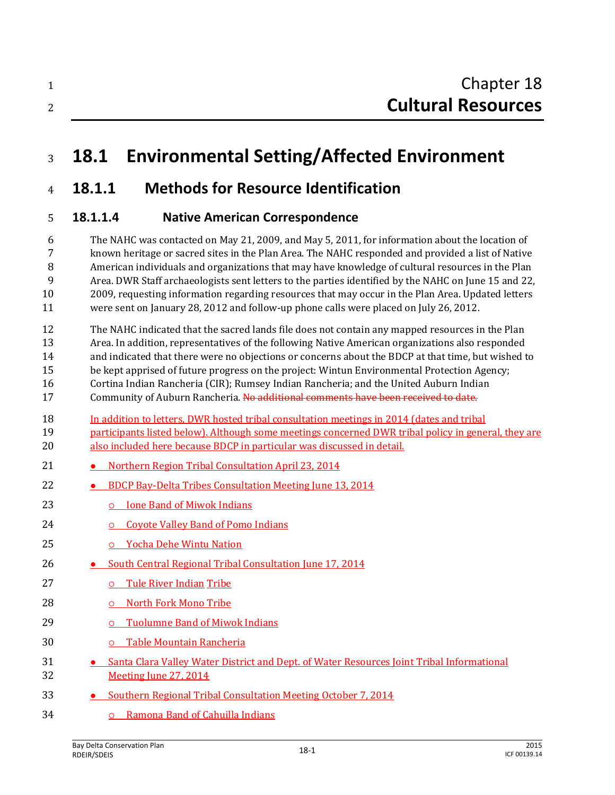# **18.1 Environmental Setting/Affected Environment**

# **18.1.1 Methods for Resource Identification**

## **18.1.1.4 Native American Correspondence**

 The NAHC was contacted on May 21, 2009, and May 5, 2011, for information about the location of known heritage or sacred sites in the Plan Area. The NAHC responded and provided a list of Native American individuals and organizations that may have knowledge of cultural resources in the Plan Area. DWR Staff archaeologists sent letters to the parties identified by the NAHC on June 15 and 22, 2009, requesting information regarding resources that may occur in the Plan Area. Updated letters were sent on January 28, 2012 and follow-up phone calls were placed on July 26, 2012.

- The NAHC indicated that the sacred lands file does not contain any mapped resources in the Plan Area. In addition, representatives of the following Native American organizations also responded and indicated that there were no objections or concerns about the BDCP at that time, but wished to be kept apprised of future progress on the project: Wintun Environmental Protection Agency; Cortina Indian Rancheria (CIR); Rumsey Indian Rancheria; and the United Auburn Indian 17 Community of Auburn Rancheria. No additional comments have been received to date.
- In addition to letters, DWR hosted tribal consultation meetings in 2014 (dates and tribal participants listed below). Although some meetings concerned DWR tribal policy in general, they are also included here because BDCP in particular was discussed in detail.
- 21 Northern Region Tribal Consultation April 23, 2014
- **BDCP Bay-Delta Tribes Consultation Meeting June 13, 2014**
- **Ione Band of Miwok Indians**
- **Coyote Valley Band of Pomo Indians**
- Yocha Dehe Wintu Nation
- **South Central Regional Tribal Consultation June 17, 2014**
- **b** Tule River Indian Tribe
- North Fork Mono Tribe
- Tuolumne Band of Miwok Indians
- Table Mountain Rancheria
- **Santa Clara Valley Water District and Dept. of Water Resources Joint Tribal Informational** Meeting June 27, 2014
- **Southern Regional Tribal Consultation Meeting October 7, 2014**
- Ramona Band of Cahuilla Indians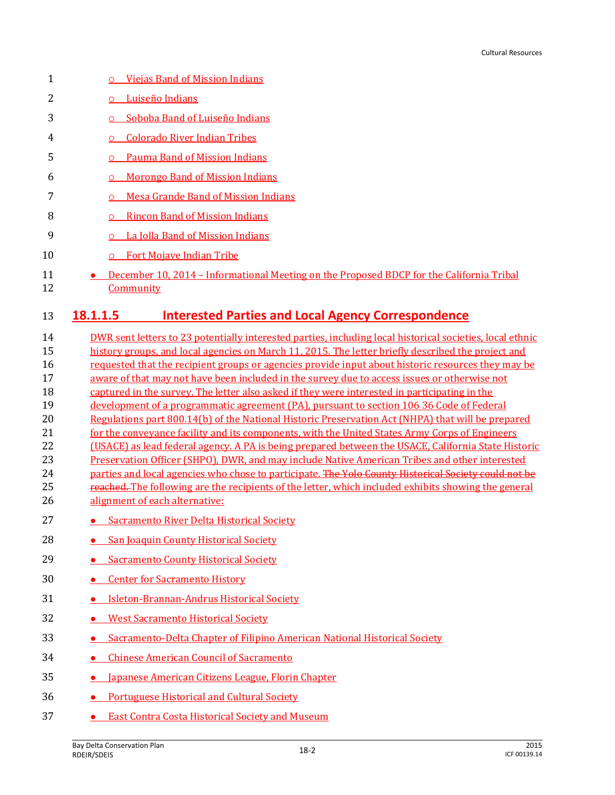| 1  | <b>Viejas Band of Mission Indians</b><br>$\circ$                                         |
|----|------------------------------------------------------------------------------------------|
| 2  | Luiseño Indians                                                                          |
| 3  | Soboba Band of Luiseño Indians                                                           |
| 4  | <b>Colorado River Indian Tribes</b><br>Ω                                                 |
| 5  | <b>Pauma Band of Mission Indians</b>                                                     |
| 6  | <b>Morongo Band of Mission Indians</b><br>O                                              |
|    | Mesa Grande Band of Mission Indians                                                      |
| 8  | <b>Rincon Band of Mission Indians</b><br>O                                               |
| 9  | La Jolla Band of Mission Indians<br>O                                                    |
| 10 | <b>Fort Mojave Indian Tribe</b><br>O                                                     |
| 11 | December 10, 2014 – Informational Meeting on the Proposed BDCP for the California Tribal |

Community

#### **18.1.1.5 Interested Parties and Local Agency Correspondence**

 DWR sent letters to 23 potentially interested parties, including local historical societies, local ethnic history groups, and local agencies on March 11, 2015. The letter briefly described the project and requested that the recipient groups or agencies provide input about historic resources they may be aware of that may not have been included in the survey due to access issues or otherwise not captured in the survey. The letter also asked if they were interested in participating in the development of a programmatic agreement (PA), pursuant to section 106 36 Code of Federal Regulations part 800.14(b) of the National Historic Preservation Act (NHPA) that will be prepared 21 for the conveyance facility and its components, with the United States Army Corps of Engineers (USACE) as lead federal agency. A PA is being prepared between the USACE, California State Historic Preservation Officer (SHPO), DWR, and may include Native American Tribes and other interested 24 parties and local agencies who chose to participate. The Yolo County Historical Society could not be 25 reached. The following are the recipients of the letter, which included exhibits showing the general alignment of each alternative:

- **Sacramento River Delta Historical Society**
- 28 San Joaquin County Historical Society
- **Sacramento County Historical Society**
- **Center for Sacramento History**
- **•** Isleton-Brannan-Andrus Historical Society
- 32 West Sacramento Historical Society
- **Sacramento-Delta Chapter of Filipino American National Historical Society**
- **Chinese American Council of Sacramento**
- **•** Japanese American Citizens League, Florin Chapter
- Portuguese Historical and Cultural Society
- **East Contra Costa Historical Society and Museum**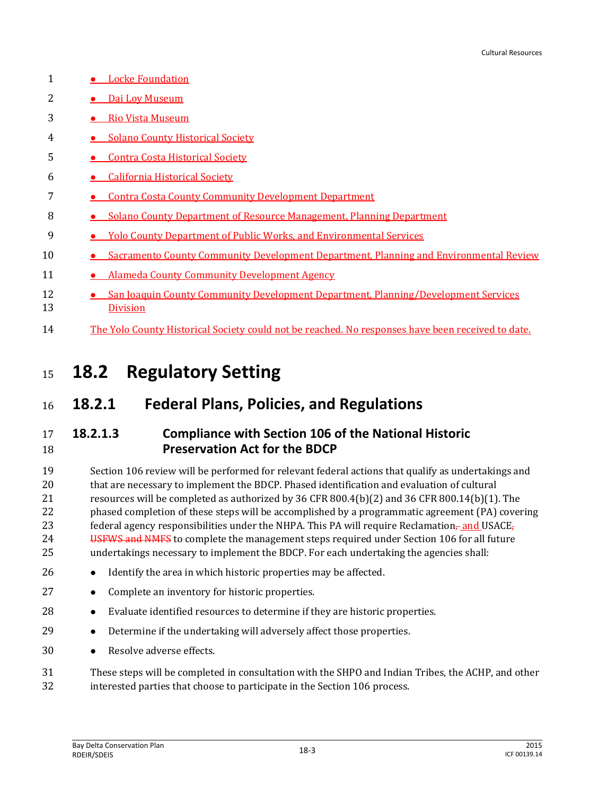| 1        | <b>Locke Foundation</b>                                                                               |
|----------|-------------------------------------------------------------------------------------------------------|
| 2        | • Dai Loy Museum                                                                                      |
| 3        | <b>Rio Vista Museum</b>                                                                               |
| 4        | • Solano County Historical Society                                                                    |
| 5        | <b>Contra Costa Historical Society</b>                                                                |
| 6        | <b>California Historical Society</b>                                                                  |
|          | <b>Contra Costa County Community Development Department</b>                                           |
| 8        | <b>Solano County Department of Resource Management, Planning Department</b>                           |
| 9        | <b>Yolo County Department of Public Works, and Environmental Services</b>                             |
| 10       | Sacramento County Community Development Department, Planning and Environmental Review                 |
| 11       | <b>Alameda County Community Development Agency</b>                                                    |
| 12<br>13 | San Joaquin County Community Development Department, Planning/Development Services<br><b>Division</b> |
| 14       | The Yolo County Historical Society could not be reached. No responses have been received to date.     |

# <sup>15</sup> **18.2 Regulatory Setting**

# <sup>16</sup> **18.2.1 Federal Plans, Policies, and Regulations**

## 17 **18.2.1.3 Compliance with Section 106 of the National Historic**  18 **Preservation Act for the BDCP**

 Section 106 review will be performed for relevant federal actions that qualify as undertakings and that are necessary to implement the BDCP. Phased identification and evaluation of cultural resources will be completed as authorized by 36 CFR 800.4(b)(2) and 36 CFR 800.14(b)(1). The phased completion of these steps will be accomplished by a programmatic agreement (PA) covering 23 federal agency responsibilities under the NHPA. This PA will require Reclamation- and USACE, 24 USFWS and NMFS to complete the management steps required under Section 106 for all future undertakings necessary to implement the BDCP. For each undertaking the agencies shall:

- 26 Identify the area in which historic properties may be affected.
- 27 **•** Complete an inventory for historic properties.
- 28 Evaluate identified resources to determine if they are historic properties.
- 29 Determine if the undertaking will adversely affect those properties.
- 30 Resolve adverse effects.

31 These steps will be completed in consultation with the SHPO and Indian Tribes, the ACHP, and other 32 interested parties that choose to participate in the Section 106 process.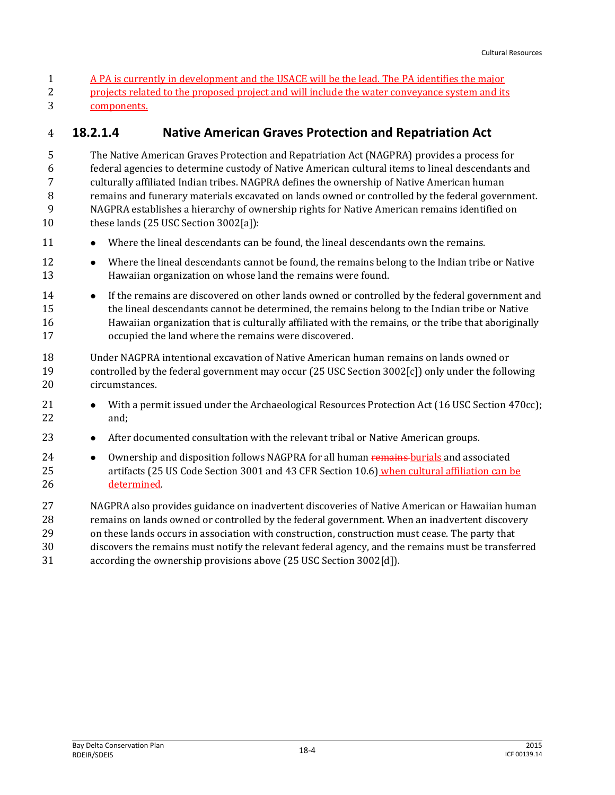A PA is currently in development and the USACE will be the lead. The PA identifies the major projects related to the proposed project and will include the water conveyance system and its components.

### **18.2.1.4 Native American Graves Protection and Repatriation Act**

 The Native American Graves Protection and Repatriation Act (NAGPRA) provides a process for federal agencies to determine custody of Native American cultural items to lineal descendants and culturally affiliated Indian tribes. NAGPRA defines the ownership of Native American human remains and funerary materials excavated on lands owned or controlled by the federal government. NAGPRA establishes a hierarchy of ownership rights for Native American remains identified on 10 these lands (25 USC Section 3002[a]):

- 11 Where the lineal descendants can be found, the lineal descendants own the remains.
- **Where the lineal descendants cannot be found, the remains belong to the Indian tribe or Native** Hawaiian organization on whose land the remains were found.
- **If the remains are discovered on other lands owned or controlled by the federal government and**  the lineal descendants cannot be determined, the remains belong to the Indian tribe or Native Hawaiian organization that is culturally affiliated with the remains, or the tribe that aboriginally occupied the land where the remains were discovered.
- Under NAGPRA intentional excavation of Native American human remains on lands owned or controlled by the federal government may occur (25 USC Section 3002[c]) only under the following circumstances.
- 21 With a permit issued under the Archaeological Resources Protection Act (16 USC Section 470cc); and;
- **•** After documented consultation with the relevant tribal or Native American groups.
- **•** Ownership and disposition follows NAGPRA for all human remains burials and associated artifacts (25 US Code Section 3001 and 43 CFR Section 10.6) when cultural affiliation can be determined.
- NAGPRA also provides guidance on inadvertent discoveries of Native American or Hawaiian human remains on lands owned or controlled by the federal government. When an inadvertent discovery on these lands occurs in association with construction, construction must cease. The party that discovers the remains must notify the relevant federal agency, and the remains must be transferred
- according the ownership provisions above (25 USC Section 3002[d]).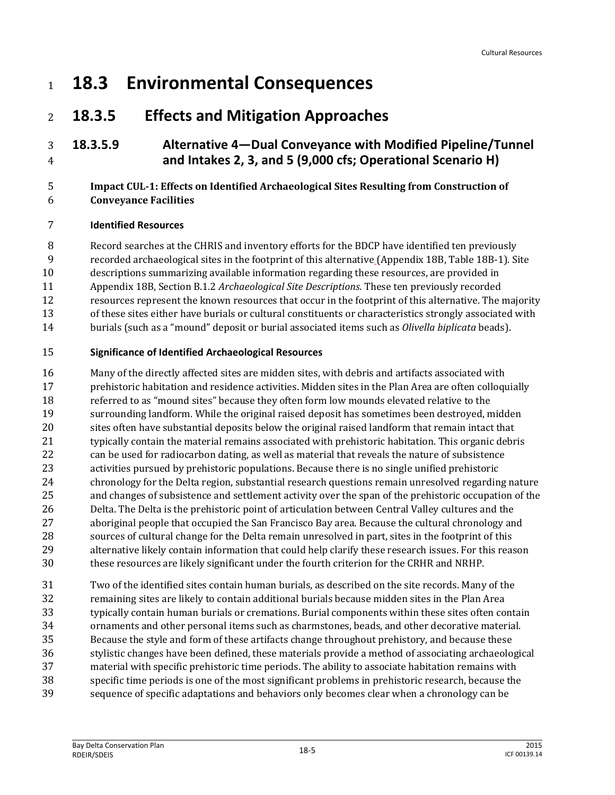# **18.3 Environmental Consequences**

# **18.3.5 Effects and Mitigation Approaches**

## **18.3.5.9 Alternative 4—Dual Conveyance with Modified Pipeline/Tunnel and Intakes 2, 3, and 5 (9,000 cfs; Operational Scenario H)**

#### **Impact CUL-1: Effects on Identified Archaeological Sites Resulting from Construction of Conveyance Facilities**

#### **Identified Resources**

Record searches at the CHRIS and inventory efforts for the BDCP have identified ten previously

recorded archaeological sites in the footprint of this alternative (Appendix 18B, Table 18B-1). Site

descriptions summarizing available information regarding these resources, are provided in

- Appendix 18B, Section B.1.2 *Archaeological Site Descriptions*. These ten previously recorded
- resources represent the known resources that occur in the footprint of this alternative. The majority
- of these sites either have burials or cultural constituents or characteristics strongly associated with
- burials (such as a "mound" deposit or burial associated items such as *Olivella biplicata* beads).

#### **Significance of Identified Archaeological Resources**

 Many of the directly affected sites are midden sites, with debris and artifacts associated with prehistoric habitation and residence activities. Midden sites in the Plan Area are often colloquially referred to as "mound sites" because they often form low mounds elevated relative to the surrounding landform. While the original raised deposit has sometimes been destroyed, midden sites often have substantial deposits below the original raised landform that remain intact that typically contain the material remains associated with prehistoric habitation. This organic debris can be used for radiocarbon dating, as well as material that reveals the nature of subsistence activities pursued by prehistoric populations. Because there is no single unified prehistoric chronology for the Delta region, substantial research questions remain unresolved regarding nature and changes of subsistence and settlement activity over the span of the prehistoric occupation of the Delta. The Delta is the prehistoric point of articulation between Central Valley cultures and the aboriginal people that occupied the San Francisco Bay area. Because the cultural chronology and sources of cultural change for the Delta remain unresolved in part, sites in the footprint of this alternative likely contain information that could help clarify these research issues. For this reason these resources are likely significant under the fourth criterion for the CRHR and NRHP.

 Two of the identified sites contain human burials, as described on the site records. Many of the remaining sites are likely to contain additional burials because midden sites in the Plan Area typically contain human burials or cremations. Burial components within these sites often contain ornaments and other personal items such as charmstones, beads, and other decorative material. Because the style and form of these artifacts change throughout prehistory, and because these stylistic changes have been defined, these materials provide a method of associating archaeological material with specific prehistoric time periods. The ability to associate habitation remains with specific time periods is one of the most significant problems in prehistoric research, because the sequence of specific adaptations and behaviors only becomes clear when a chronology can be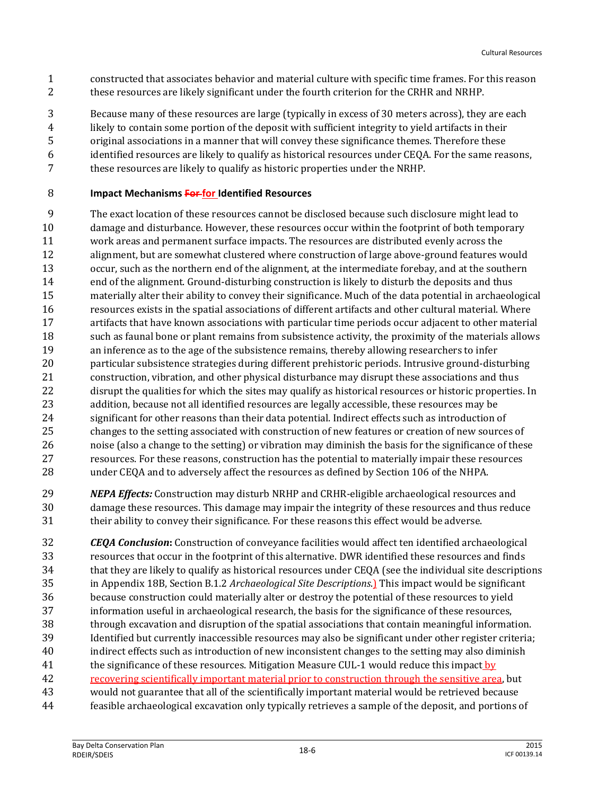- constructed that associates behavior and material culture with specific time frames. For this reason these resources are likely significant under the fourth criterion for the CRHR and NRHP.
- Because many of these resources are large (typically in excess of 30 meters across), they are each
- likely to contain some portion of the deposit with sufficient integrity to yield artifacts in their
- original associations in a manner that will convey these significance themes. Therefore these
- identified resources are likely to qualify as historical resources under CEQA. For the same reasons, these resources are likely to qualify as historic properties under the NRHP.

### **Impact Mechanisms For for Identified Resources**

- The exact location of these resources cannot be disclosed because such disclosure might lead to damage and disturbance. However, these resources occur within the footprint of both temporary work areas and permanent surface impacts. The resources are distributed evenly across the alignment, but are somewhat clustered where construction of large above-ground features would occur, such as the northern end of the alignment, at the intermediate forebay, and at the southern end of the alignment. Ground-disturbing construction is likely to disturb the deposits and thus materially alter their ability to convey their significance. Much of the data potential in archaeological resources exists in the spatial associations of different artifacts and other cultural material. Where artifacts that have known associations with particular time periods occur adjacent to other material such as faunal bone or plant remains from subsistence activity, the proximity of the materials allows an inference as to the age of the subsistence remains, thereby allowing researchers to infer particular subsistence strategies during different prehistoric periods. Intrusive ground-disturbing construction, vibration, and other physical disturbance may disrupt these associations and thus 22 disrupt the qualities for which the sites may qualify as historical resources or historic properties. In addition, because not all identified resources are legally accessible, these resources may be significant for other reasons than their data potential. Indirect effects such as introduction of changes to the setting associated with construction of new features or creation of new sources of noise (also a change to the setting) or vibration may diminish the basis for the significance of these resources. For these reasons, construction has the potential to materially impair these resources under CEQA and to adversely affect the resources as defined by Section 106 of the NHPA.
- *NEPA Effects:* Construction may disturb NRHP and CRHR-eligible archaeological resources and damage these resources. This damage may impair the integrity of these resources and thus reduce their ability to convey their significance. For these reasons this effect would be adverse.
- *CEQA Conclusion***:** Construction of conveyance facilities would affect ten identified archaeological resources that occur in the footprint of this alternative. DWR identified these resources and finds 34 that they are likely to qualify as historical resources under CEQA (see the individual site descriptions in Appendix 18B, Section B.1.2 *Archaeological Site Descriptions*.) This impact would be significant because construction could materially alter or destroy the potential of these resources to yield information useful in archaeological research, the basis for the significance of these resources, through excavation and disruption of the spatial associations that contain meaningful information. Identified but currently inaccessible resources may also be significant under other register criteria; indirect effects such as introduction of new inconsistent changes to the setting may also diminish 41 the significance of these resources. Mitigation Measure CUL-1 would reduce this impact by recovering scientifically important material prior to construction through the sensitive area, but would not guarantee that all of the scientifically important material would be retrieved because
- feasible archaeological excavation only typically retrieves a sample of the deposit, and portions of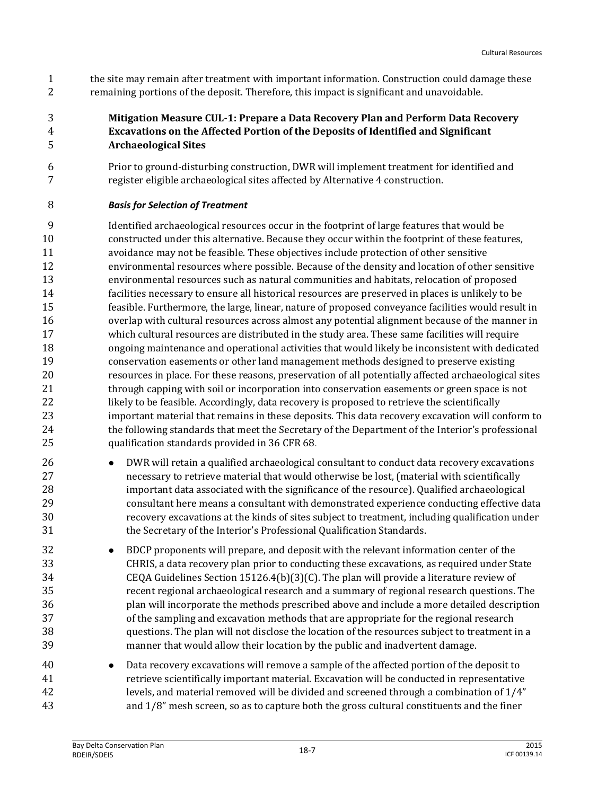the site may remain after treatment with important information. Construction could damage these remaining portions of the deposit. Therefore, this impact is significant and unavoidable.

#### **Mitigation Measure CUL-1: Prepare a Data Recovery Plan and Perform Data Recovery Excavations on the Affected Portion of the Deposits of Identified and Significant Archaeological Sites**

 Prior to ground-disturbing construction, DWR will implement treatment for identified and register eligible archaeological sites affected by Alternative 4 construction.

#### *Basis for Selection of Treatment*

 Identified archaeological resources occur in the footprint of large features that would be constructed under this alternative. Because they occur within the footprint of these features, avoidance may not be feasible. These objectives include protection of other sensitive environmental resources where possible. Because of the density and location of other sensitive environmental resources such as natural communities and habitats, relocation of proposed facilities necessary to ensure all historical resources are preserved in places is unlikely to be feasible. Furthermore, the large, linear, nature of proposed conveyance facilities would result in overlap with cultural resources across almost any potential alignment because of the manner in which cultural resources are distributed in the study area. These same facilities will require ongoing maintenance and operational activities that would likely be inconsistent with dedicated conservation easements or other land management methods designed to preserve existing resources in place. For these reasons, preservation of all potentially affected archaeological sites through capping with soil or incorporation into conservation easements or green space is not 22 likely to be feasible. Accordingly, data recovery is proposed to retrieve the scientifically important material that remains in these deposits. This data recovery excavation will conform to the following standards that meet the Secretary of the Department of the Interior's professional qualification standards provided in 36 CFR 68.

- **DWR** will retain a qualified archaeological consultant to conduct data recovery excavations necessary to retrieve material that would otherwise be lost, (material with scientifically important data associated with the significance of the resource). Qualified archaeological consultant here means a consultant with demonstrated experience conducting effective data recovery excavations at the kinds of sites subject to treatment, including qualification under the Secretary of the Interior's Professional Qualification Standards.
- BDCP proponents will prepare, and deposit with the relevant information center of the CHRIS, a data recovery plan prior to conducting these excavations, as required under State CEQA Guidelines Section 15126.4(b)(3)(C). The plan will provide a literature review of recent regional archaeological research and a summary of regional research questions. The plan will incorporate the methods prescribed above and include a more detailed description of the sampling and excavation methods that are appropriate for the regional research questions. The plan will not disclose the location of the resources subject to treatment in a manner that would allow their location by the public and inadvertent damage.
- Data recovery excavations will remove a sample of the affected portion of the deposit to retrieve scientifically important material. Excavation will be conducted in representative levels, and material removed will be divided and screened through a combination of 1/4" and 1/8" mesh screen, so as to capture both the gross cultural constituents and the finer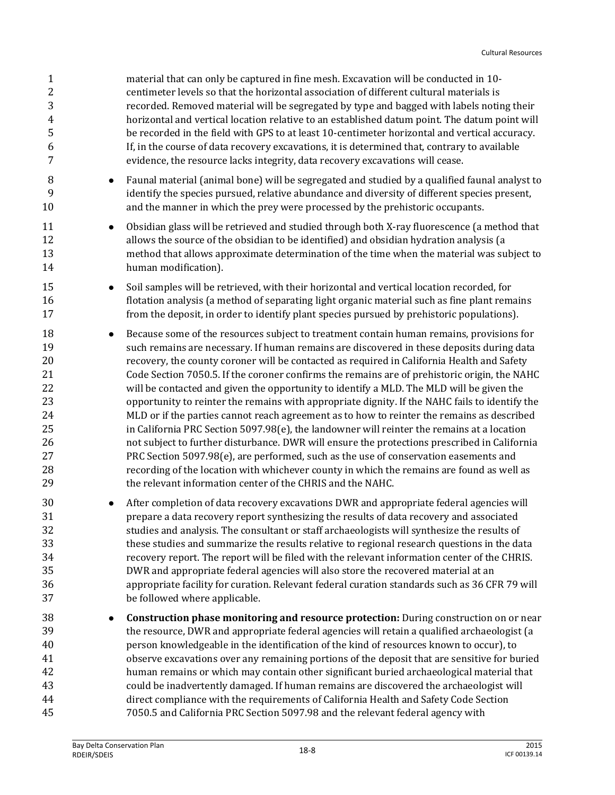| $\mathbf{1}$<br>$\overline{c}$<br>3<br>4<br>5<br>6<br>7                           | material that can only be captured in fine mesh. Excavation will be conducted in 10-<br>centimeter levels so that the horizontal association of different cultural materials is<br>recorded. Removed material will be segregated by type and bagged with labels noting their<br>horizontal and vertical location relative to an established datum point. The datum point will<br>be recorded in the field with GPS to at least 10-centimeter horizontal and vertical accuracy.<br>If, in the course of data recovery excavations, it is determined that, contrary to available<br>evidence, the resource lacks integrity, data recovery excavations will cease.                                                                                                                                                                                                                                                                                                                                                                                                                                                                     |
|-----------------------------------------------------------------------------------|-------------------------------------------------------------------------------------------------------------------------------------------------------------------------------------------------------------------------------------------------------------------------------------------------------------------------------------------------------------------------------------------------------------------------------------------------------------------------------------------------------------------------------------------------------------------------------------------------------------------------------------------------------------------------------------------------------------------------------------------------------------------------------------------------------------------------------------------------------------------------------------------------------------------------------------------------------------------------------------------------------------------------------------------------------------------------------------------------------------------------------------|
| 8<br>$\bullet$<br>9<br>10                                                         | Faunal material (animal bone) will be segregated and studied by a qualified faunal analyst to<br>identify the species pursued, relative abundance and diversity of different species present,<br>and the manner in which the prey were processed by the prehistoric occupants.                                                                                                                                                                                                                                                                                                                                                                                                                                                                                                                                                                                                                                                                                                                                                                                                                                                      |
| 11<br>$\bullet$<br>12<br>13<br>14                                                 | Obsidian glass will be retrieved and studied through both X-ray fluorescence (a method that<br>allows the source of the obsidian to be identified) and obsidian hydration analysis (a<br>method that allows approximate determination of the time when the material was subject to<br>human modification).                                                                                                                                                                                                                                                                                                                                                                                                                                                                                                                                                                                                                                                                                                                                                                                                                          |
| 15<br>$\bullet$<br>16<br>17                                                       | Soil samples will be retrieved, with their horizontal and vertical location recorded, for<br>flotation analysis (a method of separating light organic material such as fine plant remains<br>from the deposit, in order to identify plant species pursued by prehistoric populations).                                                                                                                                                                                                                                                                                                                                                                                                                                                                                                                                                                                                                                                                                                                                                                                                                                              |
| 18<br>$\bullet$<br>19<br>20<br>21<br>22<br>23<br>24<br>25<br>26<br>27<br>28<br>29 | Because some of the resources subject to treatment contain human remains, provisions for<br>such remains are necessary. If human remains are discovered in these deposits during data<br>recovery, the county coroner will be contacted as required in California Health and Safety<br>Code Section 7050.5. If the coroner confirms the remains are of prehistoric origin, the NAHC<br>will be contacted and given the opportunity to identify a MLD. The MLD will be given the<br>opportunity to reinter the remains with appropriate dignity. If the NAHC fails to identify the<br>MLD or if the parties cannot reach agreement as to how to reinter the remains as described<br>in California PRC Section $5097.98(e)$ , the landowner will reinter the remains at a location<br>not subject to further disturbance. DWR will ensure the protections prescribed in California<br>PRC Section 5097.98(e), are performed, such as the use of conservation easements and<br>recording of the location with whichever county in which the remains are found as well as<br>the relevant information center of the CHRIS and the NAHC. |
| 30<br>31<br>32<br>33<br>34<br>35<br>36<br>37                                      | After completion of data recovery excavations DWR and appropriate federal agencies will<br>prepare a data recovery report synthesizing the results of data recovery and associated<br>studies and analysis. The consultant or staff archaeologists will synthesize the results of<br>these studies and summarize the results relative to regional research questions in the data<br>recovery report. The report will be filed with the relevant information center of the CHRIS.<br>DWR and appropriate federal agencies will also store the recovered material at an<br>appropriate facility for curation. Relevant federal curation standards such as 36 CFR 79 will<br>be followed where applicable.                                                                                                                                                                                                                                                                                                                                                                                                                             |
| 38<br>$\bullet$<br>39<br>40<br>41<br>42<br>43<br>44<br>45                         | <b>Construction phase monitoring and resource protection:</b> During construction on or near<br>the resource, DWR and appropriate federal agencies will retain a qualified archaeologist (a<br>person knowledgeable in the identification of the kind of resources known to occur), to<br>observe excavations over any remaining portions of the deposit that are sensitive for buried<br>human remains or which may contain other significant buried archaeological material that<br>could be inadvertently damaged. If human remains are discovered the archaeologist will<br>direct compliance with the requirements of California Health and Safety Code Section<br>7050.5 and California PRC Section 5097.98 and the relevant federal agency with                                                                                                                                                                                                                                                                                                                                                                              |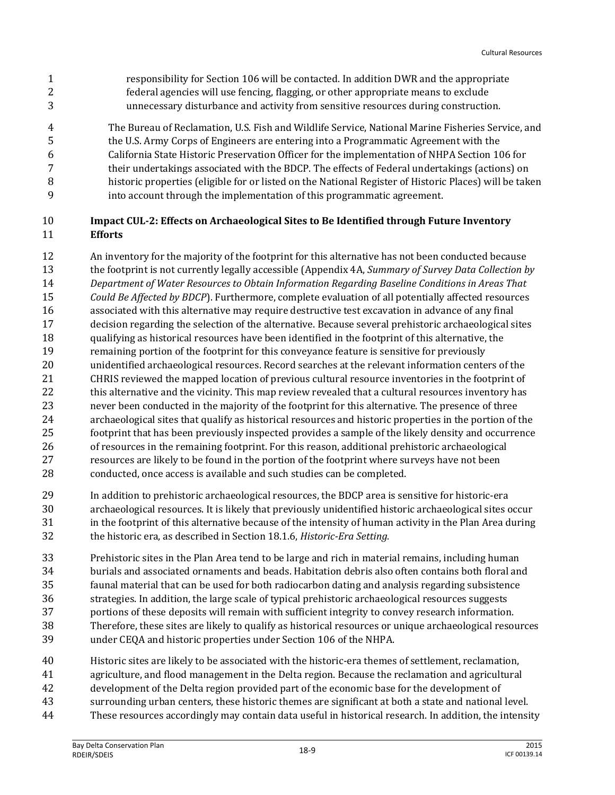responsibility for Section 106 will be contacted. In addition DWR and the appropriate federal agencies will use fencing, flagging, or other appropriate means to exclude unnecessary disturbance and activity from sensitive resources during construction.

 The Bureau of Reclamation, U.S. Fish and Wildlife Service, National Marine Fisheries Service, and the U.S. Army Corps of Engineers are entering into a Programmatic Agreement with the California State Historic Preservation Officer for the implementation of NHPA Section 106 for their undertakings associated with the BDCP. The effects of Federal undertakings (actions) on historic properties (eligible for or listed on the National Register of Historic Places) will be taken into account through the implementation of this programmatic agreement.

#### **Impact CUL-2: Effects on Archaeological Sites to Be Identified through Future Inventory Efforts**

- An inventory for the majority of the footprint for this alternative has not been conducted because the footprint is not currently legally accessible (Appendix 4A, *Summary of Survey Data Collection by Department of Water Resources to Obtain Information Regarding Baseline Conditions in Areas That Could Be Affected by BDCP*). Furthermore, complete evaluation of all potentially affected resources associated with this alternative may require destructive test excavation in advance of any final decision regarding the selection of the alternative. Because several prehistoric archaeological sites qualifying as historical resources have been identified in the footprint of this alternative, the remaining portion of the footprint for this conveyance feature is sensitive for previously unidentified archaeological resources. Record searches at the relevant information centers of the CHRIS reviewed the mapped location of previous cultural resource inventories in the footprint of 22 this alternative and the vicinity. This map review revealed that a cultural resources inventory has never been conducted in the majority of the footprint for this alternative. The presence of three archaeological sites that qualify as historical resources and historic properties in the portion of the footprint that has been previously inspected provides a sample of the likely density and occurrence of resources in the remaining footprint. For this reason, additional prehistoric archaeological resources are likely to be found in the portion of the footprint where surveys have not been conducted, once access is available and such studies can be completed.
- In addition to prehistoric archaeological resources, the BDCP area is sensitive for historic-era archaeological resources. It is likely that previously unidentified historic archaeological sites occur in the footprint of this alternative because of the intensity of human activity in the Plan Area during the historic era, as described in Section 18.1.6, *Historic-Era Setting.*
- Prehistoric sites in the Plan Area tend to be large and rich in material remains, including human burials and associated ornaments and beads. Habitation debris also often contains both floral and faunal material that can be used for both radiocarbon dating and analysis regarding subsistence strategies. In addition, the large scale of typical prehistoric archaeological resources suggests portions of these deposits will remain with sufficient integrity to convey research information. Therefore, these sites are likely to qualify as historical resources or unique archaeological resources under CEQA and historic properties under Section 106 of the NHPA.
- Historic sites are likely to be associated with the historic-era themes of settlement, reclamation,
- agriculture, and flood management in the Delta region. Because the reclamation and agricultural
- development of the Delta region provided part of the economic base for the development of
- surrounding urban centers, these historic themes are significant at both a state and national level.
- These resources accordingly may contain data useful in historical research. In addition, the intensity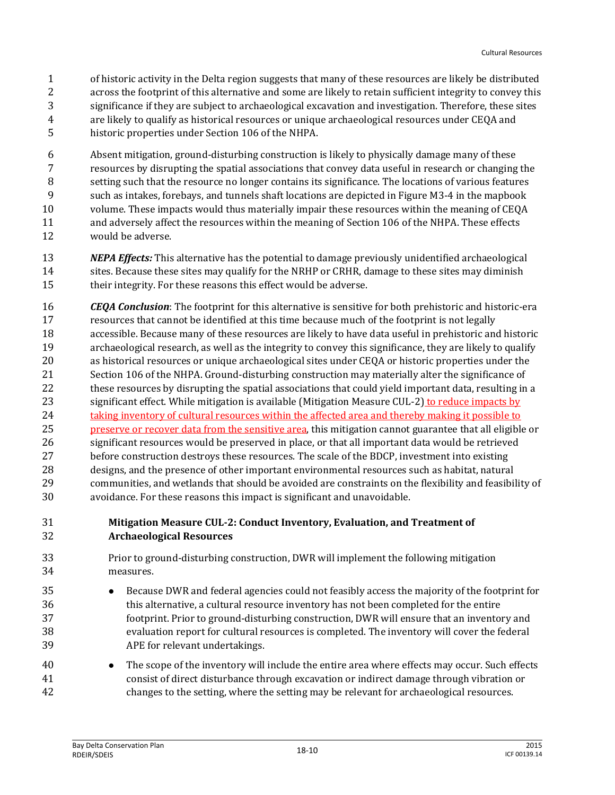of historic activity in the Delta region suggests that many of these resources are likely be distributed across the footprint of this alternative and some are likely to retain sufficient integrity to convey this significance if they are subject to archaeological excavation and investigation. Therefore, these sites are likely to qualify as historical resources or unique archaeological resources under CEQA and historic properties under Section 106 of the NHPA.

 Absent mitigation, ground-disturbing construction is likely to physically damage many of these resources by disrupting the spatial associations that convey data useful in research or changing the setting such that the resource no longer contains its significance. The locations of various features such as intakes, forebays, and tunnels shaft locations are depicted in Figure M3-4 in the mapbook volume. These impacts would thus materially impair these resources within the meaning of CEQA and adversely affect the resources within the meaning of Section 106 of the NHPA. These effects would be adverse.

- *NEPA Effects:* This alternative has the potential to damage previously unidentified archaeological sites. Because these sites may qualify for the NRHP or CRHR, damage to these sites may diminish their integrity. For these reasons this effect would be adverse.
- *CEQA Conclusion*: The footprint for this alternative is sensitive for both prehistoric and historic-era resources that cannot be identified at this time because much of the footprint is not legally accessible. Because many of these resources are likely to have data useful in prehistoric and historic archaeological research, as well as the integrity to convey this significance, they are likely to qualify as historical resources or unique archaeological sites under CEQA or historic properties under the Section 106 of the NHPA. Ground-disturbing construction may materially alter the significance of 22 these resources by disrupting the spatial associations that could yield important data, resulting in a significant effect. While mitigation is available (Mitigation Measure CUL-2) to reduce impacts by 24 taking inventory of cultural resources within the affected area and thereby making it possible to 25 preserve or recover data from the sensitive area, this mitigation cannot guarantee that all eligible or significant resources would be preserved in place, or that all important data would be retrieved before construction destroys these resources. The scale of the BDCP, investment into existing designs, and the presence of other important environmental resources such as habitat, natural communities, and wetlands that should be avoided are constraints on the flexibility and feasibility of avoidance. For these reasons this impact is significant and unavoidable.

#### **Mitigation Measure CUL-2: Conduct Inventory, Evaluation, and Treatment of Archaeological Resources**

- Prior to ground-disturbing construction, DWR will implement the following mitigation measures.
- Because DWR and federal agencies could not feasibly access the majority of the footprint for this alternative, a cultural resource inventory has not been completed for the entire footprint. Prior to ground-disturbing construction, DWR will ensure that an inventory and evaluation report for cultural resources is completed. The inventory will cover the federal APE for relevant undertakings.
- The scope of the inventory will include the entire area where effects may occur. Such effects consist of direct disturbance through excavation or indirect damage through vibration or changes to the setting, where the setting may be relevant for archaeological resources.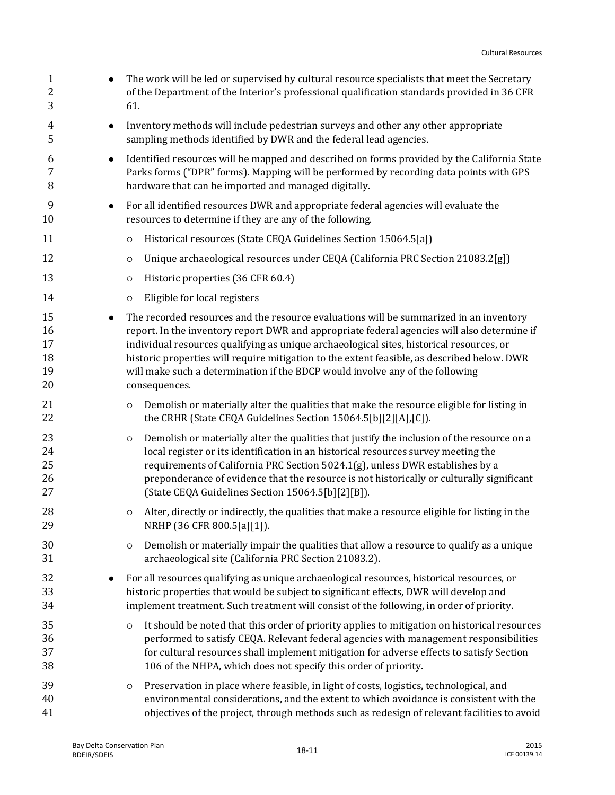| $\mathbf{1}$<br>$\boldsymbol{2}$<br>3 |           | The work will be led or supervised by cultural resource specialists that meet the Secretary<br>of the Department of the Interior's professional qualification standards provided in 36 CFR<br>61.                                                                                                                                                                                                                                                                                  |
|---------------------------------------|-----------|------------------------------------------------------------------------------------------------------------------------------------------------------------------------------------------------------------------------------------------------------------------------------------------------------------------------------------------------------------------------------------------------------------------------------------------------------------------------------------|
| 4<br>5                                | $\bullet$ | Inventory methods will include pedestrian surveys and other any other appropriate<br>sampling methods identified by DWR and the federal lead agencies.                                                                                                                                                                                                                                                                                                                             |
| 6<br>7<br>8                           | $\bullet$ | Identified resources will be mapped and described on forms provided by the California State<br>Parks forms ("DPR" forms). Mapping will be performed by recording data points with GPS<br>hardware that can be imported and managed digitally.                                                                                                                                                                                                                                      |
| 9<br>10                               | $\bullet$ | For all identified resources DWR and appropriate federal agencies will evaluate the<br>resources to determine if they are any of the following.                                                                                                                                                                                                                                                                                                                                    |
| 11                                    |           | Historical resources (State CEQA Guidelines Section 15064.5[a])<br>$\circ$                                                                                                                                                                                                                                                                                                                                                                                                         |
| 12                                    |           | Unique archaeological resources under CEQA (California PRC Section 21083.2[g])<br>$\circ$                                                                                                                                                                                                                                                                                                                                                                                          |
| 13                                    |           | Historic properties (36 CFR 60.4)<br>$\circ$                                                                                                                                                                                                                                                                                                                                                                                                                                       |
| 14                                    |           | Eligible for local registers<br>$\circ$                                                                                                                                                                                                                                                                                                                                                                                                                                            |
| 15<br>16<br>17<br>18<br>19<br>20      | $\bullet$ | The recorded resources and the resource evaluations will be summarized in an inventory<br>report. In the inventory report DWR and appropriate federal agencies will also determine if<br>individual resources qualifying as unique archaeological sites, historical resources, or<br>historic properties will require mitigation to the extent feasible, as described below. DWR<br>will make such a determination if the BDCP would involve any of the following<br>consequences. |
| 21<br>22                              |           | Demolish or materially alter the qualities that make the resource eligible for listing in<br>$\circ$<br>the CRHR (State CEQA Guidelines Section 15064.5[b][2][A],[C]).                                                                                                                                                                                                                                                                                                             |
| 23<br>24<br>25<br>26<br>27            |           | Demolish or materially alter the qualities that justify the inclusion of the resource on a<br>$\circ$<br>local register or its identification in an historical resources survey meeting the<br>requirements of California PRC Section 5024.1(g), unless DWR establishes by a<br>preponderance of evidence that the resource is not historically or culturally significant<br>(State CEQA Guidelines Section 15064.5[b][2][B]).                                                     |
| 28<br>29                              |           | Alter, directly or indirectly, the qualities that make a resource eligible for listing in the<br>$\circ$<br>NRHP (36 CFR 800.5[a][1]).                                                                                                                                                                                                                                                                                                                                             |
| 30<br>31                              |           | Demolish or materially impair the qualities that allow a resource to qualify as a unique<br>$\circ$<br>archaeological site (California PRC Section 21083.2).                                                                                                                                                                                                                                                                                                                       |
| 32<br>33<br>34                        |           | For all resources qualifying as unique archaeological resources, historical resources, or<br>historic properties that would be subject to significant effects, DWR will develop and<br>implement treatment. Such treatment will consist of the following, in order of priority.                                                                                                                                                                                                    |
| 35<br>36<br>37<br>38                  |           | It should be noted that this order of priority applies to mitigation on historical resources<br>$\circ$<br>performed to satisfy CEQA. Relevant federal agencies with management responsibilities<br>for cultural resources shall implement mitigation for adverse effects to satisfy Section<br>106 of the NHPA, which does not specify this order of priority.                                                                                                                    |
| 39<br>40<br>41                        |           | Preservation in place where feasible, in light of costs, logistics, technological, and<br>$\circ$<br>environmental considerations, and the extent to which avoidance is consistent with the<br>objectives of the project, through methods such as redesign of relevant facilities to avoid                                                                                                                                                                                         |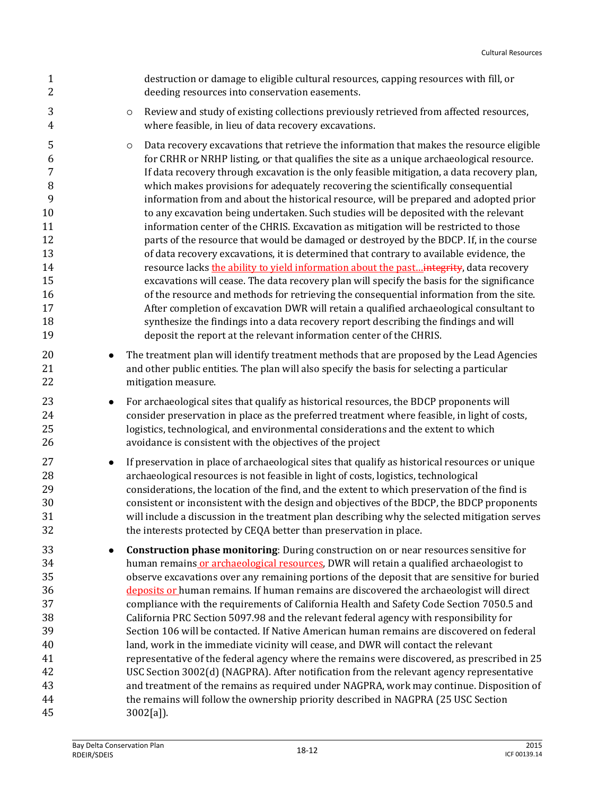| $\mathbf{1}$<br>$\overline{2}$                                                         |           | destruction or damage to eligible cultural resources, capping resources with fill, or<br>deeding resources into conservation easements.                                                                                                                                                                                                                                                                                                                                                                                                                                                                                                                                                                                                                                                                                                                                                                                                                                                                                                                                                                                                                                                                                                                                                                                                                                                            |
|----------------------------------------------------------------------------------------|-----------|----------------------------------------------------------------------------------------------------------------------------------------------------------------------------------------------------------------------------------------------------------------------------------------------------------------------------------------------------------------------------------------------------------------------------------------------------------------------------------------------------------------------------------------------------------------------------------------------------------------------------------------------------------------------------------------------------------------------------------------------------------------------------------------------------------------------------------------------------------------------------------------------------------------------------------------------------------------------------------------------------------------------------------------------------------------------------------------------------------------------------------------------------------------------------------------------------------------------------------------------------------------------------------------------------------------------------------------------------------------------------------------------------|
| 3<br>$\overline{4}$                                                                    |           | Review and study of existing collections previously retrieved from affected resources,<br>$\circ$<br>where feasible, in lieu of data recovery excavations.                                                                                                                                                                                                                                                                                                                                                                                                                                                                                                                                                                                                                                                                                                                                                                                                                                                                                                                                                                                                                                                                                                                                                                                                                                         |
| 5<br>6<br>7<br>$\, 8$<br>9<br>10<br>11<br>12<br>13<br>14<br>15<br>16<br>17<br>18<br>19 |           | Data recovery excavations that retrieve the information that makes the resource eligible<br>$\circ$<br>for CRHR or NRHP listing, or that qualifies the site as a unique archaeological resource.<br>If data recovery through excavation is the only feasible mitigation, a data recovery plan,<br>which makes provisions for adequately recovering the scientifically consequential<br>information from and about the historical resource, will be prepared and adopted prior<br>to any excavation being undertaken. Such studies will be deposited with the relevant<br>information center of the CHRIS. Excavation as mitigation will be restricted to those<br>parts of the resource that would be damaged or destroyed by the BDCP. If, in the course<br>of data recovery excavations, it is determined that contrary to available evidence, the<br>resource lacks the ability to yield information about the past integrity, data recovery<br>excavations will cease. The data recovery plan will specify the basis for the significance<br>of the resource and methods for retrieving the consequential information from the site.<br>After completion of excavation DWR will retain a qualified archaeological consultant to<br>synthesize the findings into a data recovery report describing the findings and will<br>deposit the report at the relevant information center of the CHRIS. |
| 20<br>21<br>22                                                                         | ٠         | The treatment plan will identify treatment methods that are proposed by the Lead Agencies<br>and other public entities. The plan will also specify the basis for selecting a particular<br>mitigation measure.                                                                                                                                                                                                                                                                                                                                                                                                                                                                                                                                                                                                                                                                                                                                                                                                                                                                                                                                                                                                                                                                                                                                                                                     |
| 23<br>24<br>25<br>26                                                                   | $\bullet$ | For archaeological sites that qualify as historical resources, the BDCP proponents will<br>consider preservation in place as the preferred treatment where feasible, in light of costs,<br>logistics, technological, and environmental considerations and the extent to which<br>avoidance is consistent with the objectives of the project                                                                                                                                                                                                                                                                                                                                                                                                                                                                                                                                                                                                                                                                                                                                                                                                                                                                                                                                                                                                                                                        |
| 27<br>28<br>29<br>30<br>31<br>32                                                       | $\bullet$ | If preservation in place of archaeological sites that qualify as historical resources or unique<br>archaeological resources is not feasible in light of costs, logistics, technological<br>considerations, the location of the find, and the extent to which preservation of the find is<br>consistent or inconsistent with the design and objectives of the BDCP, the BDCP proponents<br>will include a discussion in the treatment plan describing why the selected mitigation serves<br>the interests protected by CEQA better than preservation in place.                                                                                                                                                                                                                                                                                                                                                                                                                                                                                                                                                                                                                                                                                                                                                                                                                                      |
| 33<br>34<br>35<br>36<br>37<br>38<br>39<br>40<br>41<br>42<br>43<br>44<br>45             |           | Construction phase monitoring: During construction on or near resources sensitive for<br>human remains or archaeological resources, DWR will retain a qualified archaeologist to<br>observe excavations over any remaining portions of the deposit that are sensitive for buried<br>deposits or human remains. If human remains are discovered the archaeologist will direct<br>compliance with the requirements of California Health and Safety Code Section 7050.5 and<br>California PRC Section 5097.98 and the relevant federal agency with responsibility for<br>Section 106 will be contacted. If Native American human remains are discovered on federal<br>land, work in the immediate vicinity will cease, and DWR will contact the relevant<br>representative of the federal agency where the remains were discovered, as prescribed in 25<br>USC Section 3002(d) (NAGPRA). After notification from the relevant agency representative<br>and treatment of the remains as required under NAGPRA, work may continue. Disposition of<br>the remains will follow the ownership priority described in NAGPRA (25 USC Section                                                                                                                                                                                                                                                                 |
|                                                                                        |           | $3002[a]$ ).                                                                                                                                                                                                                                                                                                                                                                                                                                                                                                                                                                                                                                                                                                                                                                                                                                                                                                                                                                                                                                                                                                                                                                                                                                                                                                                                                                                       |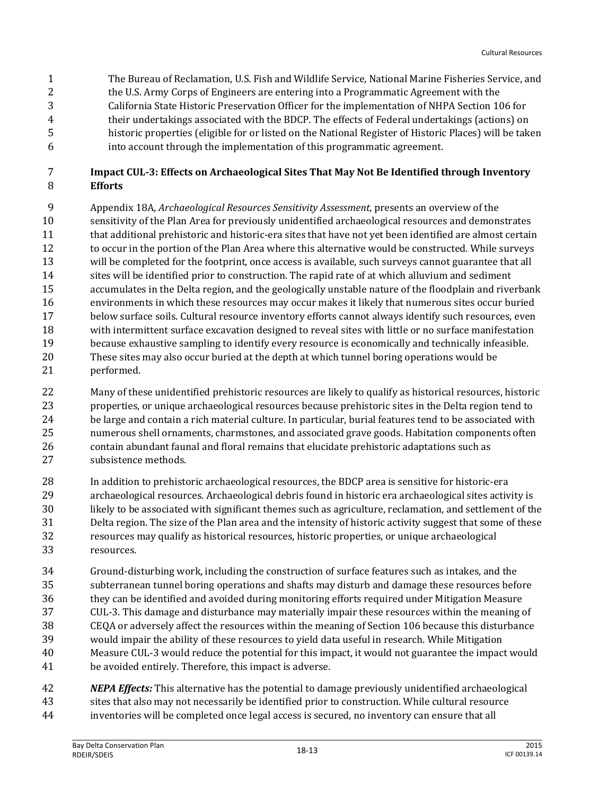The Bureau of Reclamation, U.S. Fish and Wildlife Service, National Marine Fisheries Service, and 2 the U.S. Army Corps of Engineers are entering into a Programmatic Agreement with the California State Historic Preservation Officer for the implementation of NHPA Section 106 for their undertakings associated with the BDCP. The effects of Federal undertakings (actions) on historic properties (eligible for or listed on the National Register of Historic Places) will be taken into account through the implementation of this programmatic agreement.

#### **Impact CUL-3: Effects on Archaeological Sites That May Not Be Identified through Inventory Efforts**

 Appendix 18A, *Archaeological Resources Sensitivity Assessment*, presents an overview of the sensitivity of the Plan Area for previously unidentified archaeological resources and demonstrates 11 that additional prehistoric and historic-era sites that have not yet been identified are almost certain to occur in the portion of the Plan Area where this alternative would be constructed. While surveys will be completed for the footprint, once access is available, such surveys cannot guarantee that all sites will be identified prior to construction. The rapid rate of at which alluvium and sediment accumulates in the Delta region, and the geologically unstable nature of the floodplain and riverbank environments in which these resources may occur makes it likely that numerous sites occur buried below surface soils. Cultural resource inventory efforts cannot always identify such resources, even with intermittent surface excavation designed to reveal sites with little or no surface manifestation because exhaustive sampling to identify every resource is economically and technically infeasible. These sites may also occur buried at the depth at which tunnel boring operations would be performed.

 Many of these unidentified prehistoric resources are likely to qualify as historical resources, historic properties, or unique archaeological resources because prehistoric sites in the Delta region tend to 24 be large and contain a rich material culture. In particular, burial features tend to be associated with numerous shell ornaments, charmstones, and associated grave goods. Habitation components often contain abundant faunal and floral remains that elucidate prehistoric adaptations such as subsistence methods.

- In addition to prehistoric archaeological resources, the BDCP area is sensitive for historic-era archaeological resources. Archaeological debris found in historic era archaeological sites activity is likely to be associated with significant themes such as agriculture, reclamation, and settlement of the Delta region. The size of the Plan area and the intensity of historic activity suggest that some of these resources may qualify as historical resources, historic properties, or unique archaeological resources.
- Ground-disturbing work, including the construction of surface features such as intakes, and the subterranean tunnel boring operations and shafts may disturb and damage these resources before they can be identified and avoided during monitoring efforts required under Mitigation Measure CUL-3. This damage and disturbance may materially impair these resources within the meaning of CEQA or adversely affect the resources within the meaning of Section 106 because this disturbance would impair the ability of these resources to yield data useful in research. While Mitigation Measure CUL-3 would reduce the potential for this impact, it would not guarantee the impact would be avoided entirely. Therefore, this impact is adverse.

 *NEPA Effects:* This alternative has the potential to damage previously unidentified archaeological sites that also may not necessarily be identified prior to construction. While cultural resource inventories will be completed once legal access is secured, no inventory can ensure that all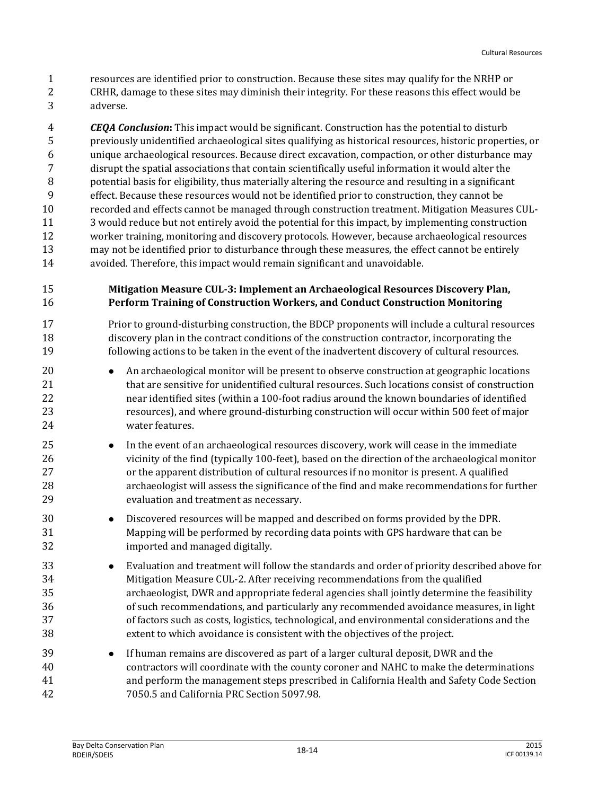- resources are identified prior to construction. Because these sites may qualify for the NRHP or
- CRHR, damage to these sites may diminish their integrity. For these reasons this effect would be adverse.

 *CEQA Conclusion***:** This impact would be significant. Construction has the potential to disturb previously unidentified archaeological sites qualifying as historical resources, historic properties, or unique archaeological resources. Because direct excavation, compaction, or other disturbance may disrupt the spatial associations that contain scientifically useful information it would alter the potential basis for eligibility, thus materially altering the resource and resulting in a significant effect. Because these resources would not be identified prior to construction, they cannot be recorded and effects cannot be managed through construction treatment. Mitigation Measures CUL- 3 would reduce but not entirely avoid the potential for this impact, by implementing construction worker training, monitoring and discovery protocols. However, because archaeological resources may not be identified prior to disturbance through these measures, the effect cannot be entirely avoided. Therefore, this impact would remain significant and unavoidable.

#### **Mitigation Measure CUL-3: Implement an Archaeological Resources Discovery Plan, Perform Training of Construction Workers, and Conduct Construction Monitoring**

 Prior to ground-disturbing construction, the BDCP proponents will include a cultural resources discovery plan in the contract conditions of the construction contractor, incorporating the following actions to be taken in the event of the inadvertent discovery of cultural resources.

- **An archaeological monitor will be present to observe construction at geographic locations**  that are sensitive for unidentified cultural resources. Such locations consist of construction near identified sites (within a 100-foot radius around the known boundaries of identified resources), and where ground-disturbing construction will occur within 500 feet of major water features.
- **In the event of an archaeological resources discovery, work will cease in the immediate**  vicinity of the find (typically 100-feet), based on the direction of the archaeological monitor or the apparent distribution of cultural resources if no monitor is present. A qualified archaeologist will assess the significance of the find and make recommendations for further evaluation and treatment as necessary.
- Discovered resources will be mapped and described on forms provided by the DPR. Mapping will be performed by recording data points with GPS hardware that can be imported and managed digitally.
- Evaluation and treatment will follow the standards and order of priority described above for Mitigation Measure CUL-2. After receiving recommendations from the qualified archaeologist, DWR and appropriate federal agencies shall jointly determine the feasibility of such recommendations, and particularly any recommended avoidance measures, in light of factors such as costs, logistics, technological, and environmental considerations and the extent to which avoidance is consistent with the objectives of the project.
- If human remains are discovered as part of a larger cultural deposit, DWR and the contractors will coordinate with the county coroner and NAHC to make the determinations and perform the management steps prescribed in California Health and Safety Code Section 7050.5 and California PRC Section 5097.98.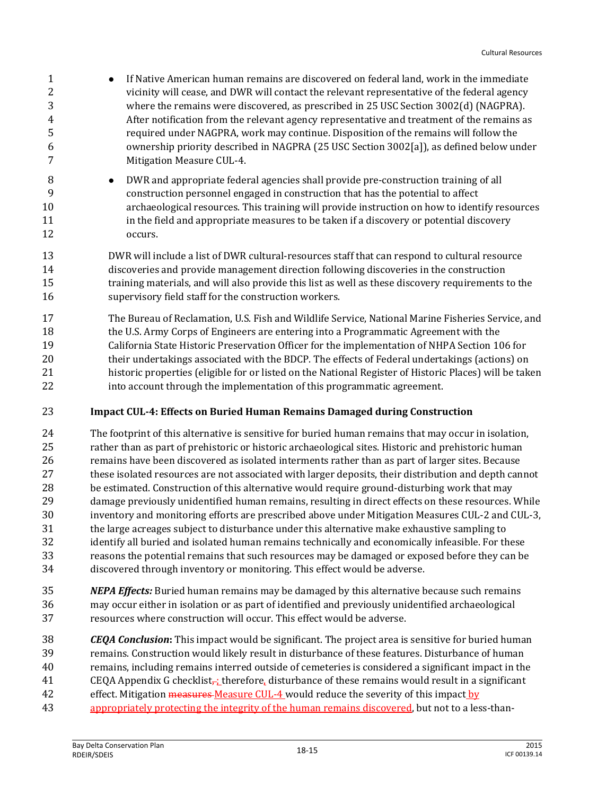- 1 If Native American human remains are discovered on federal land, work in the immediate 2 vicinity will cease, and DWR will contact the relevant representative of the federal agency where the remains were discovered, as prescribed in 25 USC Section 3002(d) (NAGPRA). After notification from the relevant agency representative and treatment of the remains as required under NAGPRA, work may continue. Disposition of the remains will follow the ownership priority described in NAGPRA (25 USC Section 3002[a]), as defined below under 7 Mitigation Measure CUL-4.
- **DWR** and appropriate federal agencies shall provide pre-construction training of all construction personnel engaged in construction that has the potential to affect archaeological resources. This training will provide instruction on how to identify resources 11 in the field and appropriate measures to be taken if a discovery or potential discovery occurs.
- DWR will include a list of DWR cultural-resources staff that can respond to cultural resource discoveries and provide management direction following discoveries in the construction training materials, and will also provide this list as well as these discovery requirements to the supervisory field staff for the construction workers.
- The Bureau of Reclamation, U.S. Fish and Wildlife Service, National Marine Fisheries Service, and the U.S. Army Corps of Engineers are entering into a Programmatic Agreement with the California State Historic Preservation Officer for the implementation of NHPA Section 106 for their undertakings associated with the BDCP. The effects of Federal undertakings (actions) on historic properties (eligible for or listed on the National Register of Historic Places) will be taken into account through the implementation of this programmatic agreement.

#### **Impact CUL-4: Effects on Buried Human Remains Damaged during Construction**

- The footprint of this alternative is sensitive for buried human remains that may occur in isolation, rather than as part of prehistoric or historic archaeological sites. Historic and prehistoric human remains have been discovered as isolated interments rather than as part of larger sites. Because these isolated resources are not associated with larger deposits, their distribution and depth cannot be estimated. Construction of this alternative would require ground-disturbing work that may damage previously unidentified human remains, resulting in direct effects on these resources. While inventory and monitoring efforts are prescribed above under Mitigation Measures CUL-2 and CUL-3, the large acreages subject to disturbance under this alternative make exhaustive sampling to identify all buried and isolated human remains technically and economically infeasible. For these reasons the potential remains that such resources may be damaged or exposed before they can be discovered through inventory or monitoring. This effect would be adverse.
- *NEPA Effects:* Buried human remains may be damaged by this alternative because such remains may occur either in isolation or as part of identified and previously unidentified archaeological resources where construction will occur. This effect would be adverse.
- *CEQA Conclusion***:** This impact would be significant. The project area is sensitive for buried human remains. Construction would likely result in disturbance of these features. Disturbance of human remains, including remains interred outside of cemeteries is considered a significant impact in the 41 CEQA Appendix G checklist<sub>r</sub>; therefore, disturbance of these remains would result in a significant 42 effect. Mitigation measures Measure CUL-4 would reduce the severity of this impact by
- appropriately protecting the integrity of the human remains discovered, but not to a less-than-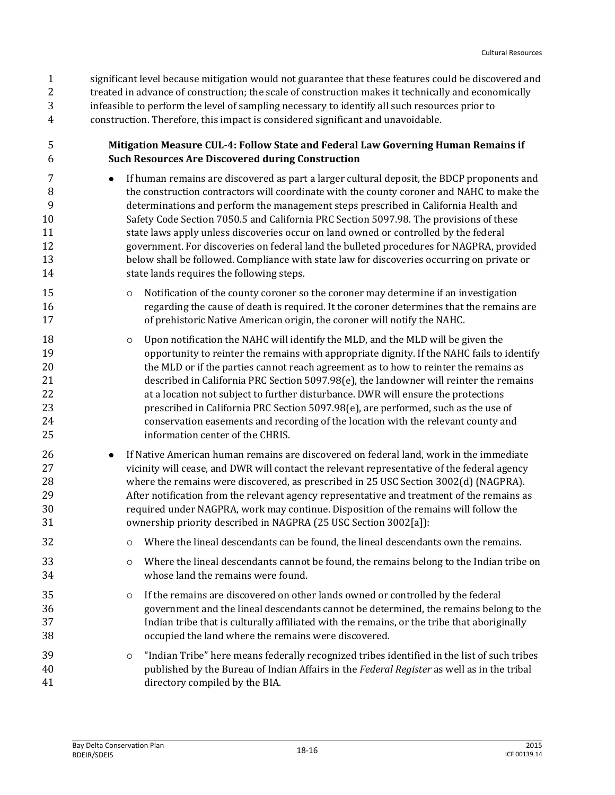significant level because mitigation would not guarantee that these features could be discovered and treated in advance of construction; the scale of construction makes it technically and economically infeasible to perform the level of sampling necessary to identify all such resources prior to construction. Therefore, this impact is considered significant and unavoidable.

- **Mitigation Measure CUL-4: Follow State and Federal Law Governing Human Remains if Such Resources Are Discovered during Construction**
- If human remains are discovered as part a larger cultural deposit, the BDCP proponents and the construction contractors will coordinate with the county coroner and NAHC to make the determinations and perform the management steps prescribed in California Health and Safety Code Section 7050.5 and California PRC Section 5097.98. The provisions of these state laws apply unless discoveries occur on land owned or controlled by the federal government. For discoveries on federal land the bulleted procedures for NAGPRA, provided below shall be followed. Compliance with state law for discoveries occurring on private or state lands requires the following steps.
- 15  $\circ$  Notification of the county coroner so the coroner may determine if an investigation regarding the cause of death is required. It the coroner determines that the remains are of prehistoric Native American origin, the coroner will notify the NAHC.
- Upon notification the NAHC will identify the MLD, and the MLD will be given the opportunity to reinter the remains with appropriate dignity. If the NAHC fails to identify 20 the MLD or if the parties cannot reach agreement as to how to reinter the remains as described in California PRC Section 5097.98(e), the landowner will reinter the remains at a location not subject to further disturbance. DWR will ensure the protections prescribed in California PRC Section 5097.98(e), are performed, such as the use of conservation easements and recording of the location with the relevant county and information center of the CHRIS.
- **I**f Native American human remains are discovered on federal land, work in the immediate vicinity will cease, and DWR will contact the relevant representative of the federal agency where the remains were discovered, as prescribed in 25 USC Section 3002(d) (NAGPRA). After notification from the relevant agency representative and treatment of the remains as required under NAGPRA, work may continue. Disposition of the remains will follow the ownership priority described in NAGPRA (25 USC Section 3002[a]):
- Where the lineal descendants can be found, the lineal descendants own the remains.
- Where the lineal descendants cannot be found, the remains belong to the Indian tribe on whose land the remains were found.
- **If the remains are discovered on other lands owned or controlled by the federal**  government and the lineal descendants cannot be determined, the remains belong to the Indian tribe that is culturally affiliated with the remains, or the tribe that aboriginally occupied the land where the remains were discovered.
- "Indian Tribe" here means federally recognized tribes identified in the list of such tribes published by the Bureau of Indian Affairs in the *Federal Register* as well as in the tribal directory compiled by the BIA.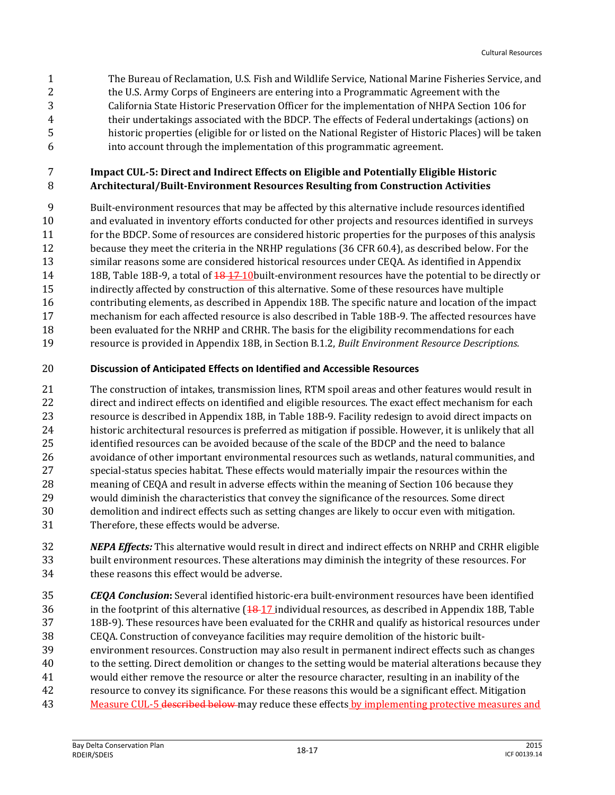The Bureau of Reclamation, U.S. Fish and Wildlife Service, National Marine Fisheries Service, and 2 the U.S. Army Corps of Engineers are entering into a Programmatic Agreement with the California State Historic Preservation Officer for the implementation of NHPA Section 106 for their undertakings associated with the BDCP. The effects of Federal undertakings (actions) on historic properties (eligible for or listed on the National Register of Historic Places) will be taken into account through the implementation of this programmatic agreement.

#### **Impact CUL-5: Direct and Indirect Effects on Eligible and Potentially Eligible Historic Architectural/Built-Environment Resources Resulting from Construction Activities**

 Built-environment resources that may be affected by this alternative include resources identified and evaluated in inventory efforts conducted for other projects and resources identified in surveys for the BDCP. Some of resources are considered historic properties for the purposes of this analysis because they meet the criteria in the NRHP regulations (36 CFR 60.4), as described below. For the similar reasons some are considered historical resources under CEQA. As identified in Appendix 14 18B, Table 18B-9, a total of  $\frac{18}{17}$  10 built-environment resources have the potential to be directly or

 indirectly affected by construction of this alternative. Some of these resources have multiple contributing elements, as described in Appendix 18B. The specific nature and location of the impact mechanism for each affected resource is also described in Table 18B-9. The affected resources have been evaluated for the NRHP and CRHR. The basis for the eligibility recommendations for each

resource is provided in Appendix 18B, in Section B.1.2, *Built Environment Resource Descriptions.*

#### **Discussion of Anticipated Effects on Identified and Accessible Resources**

 The construction of intakes, transmission lines, RTM spoil areas and other features would result in 22 direct and indirect effects on identified and eligible resources. The exact effect mechanism for each resource is described in Appendix 18B, in Table 18B-9. Facility redesign to avoid direct impacts on historic architectural resources is preferred as mitigation if possible. However, it is unlikely that all identified resources can be avoided because of the scale of the BDCP and the need to balance avoidance of other important environmental resources such as wetlands, natural communities, and special-status species habitat. These effects would materially impair the resources within the meaning of CEQA and result in adverse effects within the meaning of Section 106 because they would diminish the characteristics that convey the significance of the resources. Some direct demolition and indirect effects such as setting changes are likely to occur even with mitigation. Therefore, these effects would be adverse.

 *NEPA Effects:* This alternative would result in direct and indirect effects on NRHP and CRHR eligible built environment resources. These alterations may diminish the integrity of these resources. For these reasons this effect would be adverse.

 *CEQA Conclusion***:** Several identified historic-era built-environment resources have been identified 36 in the footprint of this alternative  $(18-17)$  individual resources, as described in Appendix 18B, Table 18B-9). These resources have been evaluated for the CRHR and qualify as historical resources under CEQA. Construction of conveyance facilities may require demolition of the historic built- environment resources. Construction may also result in permanent indirect effects such as changes to the setting. Direct demolition or changes to the setting would be material alterations because they would either remove the resource or alter the resource character, resulting in an inability of the resource to convey its significance. For these reasons this would be a significant effect. Mitigation 43 Measure CUL-5 described below may reduce these effects by implementing protective measures and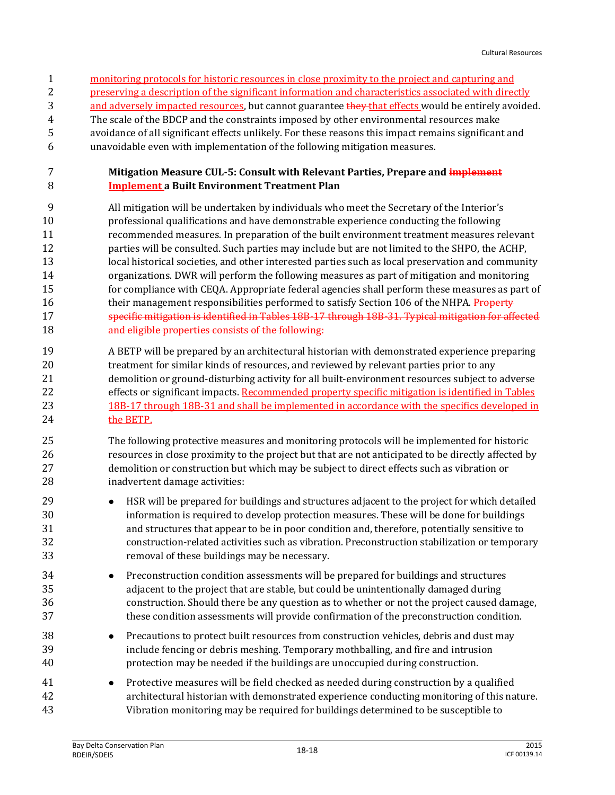- monitoring protocols for historic resources in close proximity to the project and capturing and
- preserving a description of the significant information and characteristics associated with directly
- 3 and adversely impacted resources, but cannot guarantee they that effects would be entirely avoided.
- The scale of the BDCP and the constraints imposed by other environmental resources make avoidance of all significant effects unlikely. For these reasons this impact remains significant and
- unavoidable even with implementation of the following mitigation measures.

#### **Mitigation Measure CUL-5: Consult with Relevant Parties, Prepare and implement Implement a Built Environment Treatment Plan**

- All mitigation will be undertaken by individuals who meet the Secretary of the Interior's professional qualifications and have demonstrable experience conducting the following recommended measures. In preparation of the built environment treatment measures relevant parties will be consulted. Such parties may include but are not limited to the SHPO, the ACHP, local historical societies, and other interested parties such as local preservation and community organizations. DWR will perform the following measures as part of mitigation and monitoring for compliance with CEQA. Appropriate federal agencies shall perform these measures as part of 16 their management responsibilities performed to satisfy Section 106 of the NHPA. Property specific mitigation is identified in Tables 18B-17 through 18B-31. Typical mitigation for affected and eligible properties consists of the following:
- A BETP will be prepared by an architectural historian with demonstrated experience preparing treatment for similar kinds of resources, and reviewed by relevant parties prior to any demolition or ground-disturbing activity for all built-environment resources subject to adverse 22 effects or significant impacts. Recommended property specific mitigation is identified in Tables 18B-17 through 18B-31 and shall be implemented in accordance with the specifics developed in 24 the BETP.
- The following protective measures and monitoring protocols will be implemented for historic resources in close proximity to the project but that are not anticipated to be directly affected by demolition or construction but which may be subject to direct effects such as vibration or inadvertent damage activities:
- HSR will be prepared for buildings and structures adjacent to the project for which detailed information is required to develop protection measures. These will be done for buildings and structures that appear to be in poor condition and, therefore, potentially sensitive to construction-related activities such as vibration. Preconstruction stabilization or temporary removal of these buildings may be necessary.
- Preconstruction condition assessments will be prepared for buildings and structures adjacent to the project that are stable, but could be unintentionally damaged during construction. Should there be any question as to whether or not the project caused damage, these condition assessments will provide confirmation of the preconstruction condition.
- Precautions to protect built resources from construction vehicles, debris and dust may include fencing or debris meshing. Temporary mothballing, and fire and intrusion protection may be needed if the buildings are unoccupied during construction.
- Protective measures will be field checked as needed during construction by a qualified architectural historian with demonstrated experience conducting monitoring of this nature. Vibration monitoring may be required for buildings determined to be susceptible to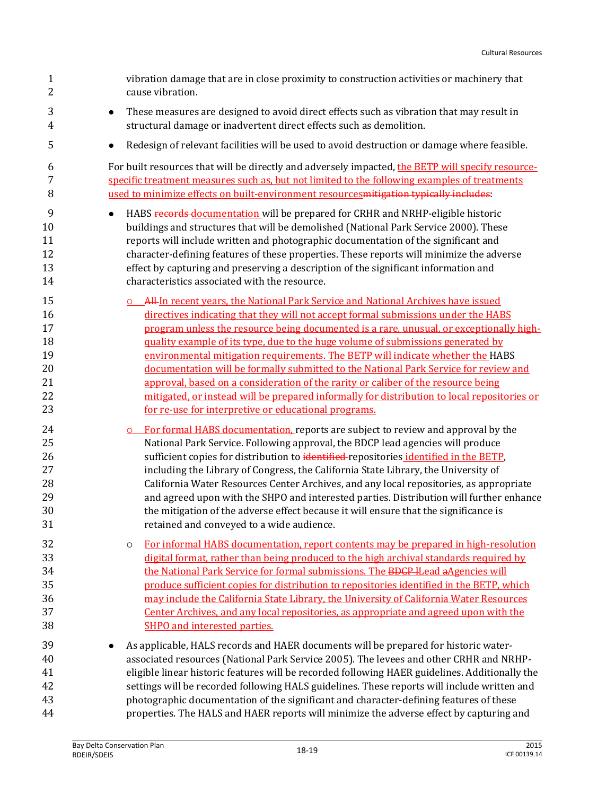| $\mathbf{1}$<br>$\boldsymbol{2}$                   | vibration damage that are in close proximity to construction activities or machinery that<br>cause vibration.                                                                                                                                                                                                                                                                                                                                                                                                                                                                                                                                                                                                                                                             |
|----------------------------------------------------|---------------------------------------------------------------------------------------------------------------------------------------------------------------------------------------------------------------------------------------------------------------------------------------------------------------------------------------------------------------------------------------------------------------------------------------------------------------------------------------------------------------------------------------------------------------------------------------------------------------------------------------------------------------------------------------------------------------------------------------------------------------------------|
| 3<br>$\overline{4}$                                | These measures are designed to avoid direct effects such as vibration that may result in<br>$\bullet$<br>structural damage or inadvertent direct effects such as demolition.                                                                                                                                                                                                                                                                                                                                                                                                                                                                                                                                                                                              |
| 5                                                  | Redesign of relevant facilities will be used to avoid destruction or damage where feasible.<br>٠                                                                                                                                                                                                                                                                                                                                                                                                                                                                                                                                                                                                                                                                          |
| 6<br>7<br>8                                        | For built resources that will be directly and adversely impacted, the BETP will specify resource-<br>specific treatment measures such as, but not limited to the following examples of treatments<br>used to minimize effects on built-environment resources mitigation typically includes:                                                                                                                                                                                                                                                                                                                                                                                                                                                                               |
| 9<br>10<br>11<br>12<br>13<br>14                    | HABS records documentation will be prepared for CRHR and NRHP-eligible historic<br>$\bullet$<br>buildings and structures that will be demolished (National Park Service 2000). These<br>reports will include written and photographic documentation of the significant and<br>character-defining features of these properties. These reports will minimize the adverse<br>effect by capturing and preserving a description of the significant information and<br>characteristics associated with the resource.                                                                                                                                                                                                                                                            |
| 15<br>16<br>17<br>18<br>19<br>20<br>21<br>22<br>23 | All In recent years, the National Park Service and National Archives have issued<br>directives indicating that they will not accept formal submissions under the HABS<br>program unless the resource being documented is a rare, unusual, or exceptionally high-<br>quality example of its type, due to the huge volume of submissions generated by<br>environmental mitigation requirements. The BETP will indicate whether the HABS<br>documentation will be formally submitted to the National Park Service for review and<br>approval, based on a consideration of the rarity or caliber of the resource being<br>mitigated, or instead will be prepared informally for distribution to local repositories or<br>for re-use for interpretive or educational programs. |
| 24<br>25<br>26<br>27<br>28<br>29<br>30<br>31       | For formal HABS documentation, reports are subject to review and approval by the<br>$\circ$<br>National Park Service. Following approval, the BDCP lead agencies will produce<br>sufficient copies for distribution to identified repositories identified in the BETP,<br>including the Library of Congress, the California State Library, the University of<br>California Water Resources Center Archives, and any local repositories, as appropriate<br>and agreed upon with the SHPO and interested parties. Distribution will further enhance<br>the mitigation of the adverse effect because it will ensure that the significance is<br>retained and conveyed to a wide audience.                                                                                    |
| 32<br>33<br>34<br>35<br>36<br>37<br>38             | For informal HABS documentation, report contents may be prepared in high-resolution<br>$\circ$<br>digital format, rather than being produced to the high archival standards required by<br>the National Park Service for formal submissions. The BDCP ILead aAgencies will<br>produce sufficient copies for distribution to repositories identified in the BETP, which<br>may include the California State Library, the University of California Water Resources<br>Center Archives, and any local repositories, as appropriate and agreed upon with the<br>SHPO and interested parties.                                                                                                                                                                                  |
| 39<br>40<br>41<br>42<br>43<br>44                   | As applicable, HALS records and HAER documents will be prepared for historic water-<br>associated resources (National Park Service 2005). The levees and other CRHR and NRHP-<br>eligible linear historic features will be recorded following HAER guidelines. Additionally the<br>settings will be recorded following HALS guidelines. These reports will include written and<br>photographic documentation of the significant and character-defining features of these<br>properties. The HALS and HAER reports will minimize the adverse effect by capturing and                                                                                                                                                                                                       |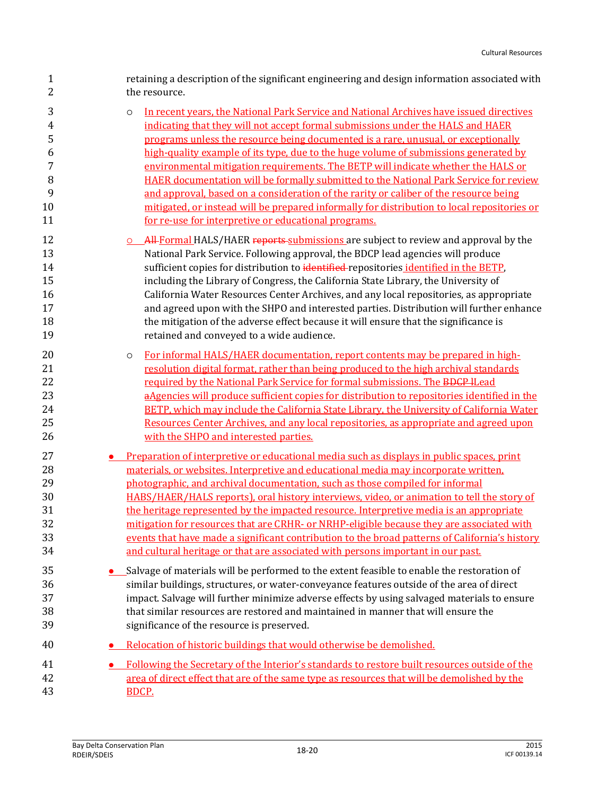| $\mathbf{1}$                                             | retaining a description of the significant engineering and design information associated with                                                                                                                                                                                                                                                                                                                                                                                                                                                                                                                                                                                                                                                                                                     |
|----------------------------------------------------------|---------------------------------------------------------------------------------------------------------------------------------------------------------------------------------------------------------------------------------------------------------------------------------------------------------------------------------------------------------------------------------------------------------------------------------------------------------------------------------------------------------------------------------------------------------------------------------------------------------------------------------------------------------------------------------------------------------------------------------------------------------------------------------------------------|
| $\overline{2}$                                           | the resource.                                                                                                                                                                                                                                                                                                                                                                                                                                                                                                                                                                                                                                                                                                                                                                                     |
| 3<br>$\overline{4}$<br>5<br>6<br>7<br>8<br>9<br>10<br>11 | In recent years, the National Park Service and National Archives have issued directives<br>$\circ$<br>indicating that they will not accept formal submissions under the HALS and HAER<br>programs unless the resource being documented is a rare, unusual, or exceptionally<br>high-quality example of its type, due to the huge volume of submissions generated by<br>environmental mitigation requirements. The BETP will indicate whether the HALS or<br>HAER documentation will be formally submitted to the National Park Service for review<br>and approval, based on a consideration of the rarity or caliber of the resource being<br>mitigated, or instead will be prepared informally for distribution to local repositories or<br>for re-use for interpretive or educational programs. |
| 12                                                       | All-Formal HALS/HAER reports-submissions are subject to review and approval by the                                                                                                                                                                                                                                                                                                                                                                                                                                                                                                                                                                                                                                                                                                                |
| 13                                                       | National Park Service. Following approval, the BDCP lead agencies will produce                                                                                                                                                                                                                                                                                                                                                                                                                                                                                                                                                                                                                                                                                                                    |
| 14                                                       | sufficient copies for distribution to identified-repositories identified in the BETP,                                                                                                                                                                                                                                                                                                                                                                                                                                                                                                                                                                                                                                                                                                             |
| 15                                                       | including the Library of Congress, the California State Library, the University of                                                                                                                                                                                                                                                                                                                                                                                                                                                                                                                                                                                                                                                                                                                |
| 16                                                       | California Water Resources Center Archives, and any local repositories, as appropriate                                                                                                                                                                                                                                                                                                                                                                                                                                                                                                                                                                                                                                                                                                            |
| 17                                                       | and agreed upon with the SHPO and interested parties. Distribution will further enhance                                                                                                                                                                                                                                                                                                                                                                                                                                                                                                                                                                                                                                                                                                           |
| 18                                                       | the mitigation of the adverse effect because it will ensure that the significance is                                                                                                                                                                                                                                                                                                                                                                                                                                                                                                                                                                                                                                                                                                              |
| 19                                                       | retained and conveyed to a wide audience.                                                                                                                                                                                                                                                                                                                                                                                                                                                                                                                                                                                                                                                                                                                                                         |
| 20<br>21<br>22<br>23<br>24<br>25<br>26                   | For informal HALS/HAER documentation, report contents may be prepared in high-<br>$\circ$<br>resolution digital format, rather than being produced to the high archival standards<br>required by the National Park Service for formal submissions. The BDCP ILead<br>aAgencies will produce sufficient copies for distribution to repositories identified in the<br>BETP, which may include the California State Library, the University of California Water<br>Resources Center Archives, and any local repositories, as appropriate and agreed upon<br>with the SHPO and interested parties.                                                                                                                                                                                                    |
| 27                                                       | Preparation of interpretive or educational media such as displays in public spaces, print                                                                                                                                                                                                                                                                                                                                                                                                                                                                                                                                                                                                                                                                                                         |
| 28                                                       | materials, or websites. Interpretive and educational media may incorporate written,                                                                                                                                                                                                                                                                                                                                                                                                                                                                                                                                                                                                                                                                                                               |
| 29                                                       | photographic, and archival documentation, such as those compiled for informal                                                                                                                                                                                                                                                                                                                                                                                                                                                                                                                                                                                                                                                                                                                     |
| 30                                                       | HABS/HAER/HALS reports), oral history interviews, video, or animation to tell the story of                                                                                                                                                                                                                                                                                                                                                                                                                                                                                                                                                                                                                                                                                                        |
| 31                                                       | the heritage represented by the impacted resource. Interpretive media is an appropriate                                                                                                                                                                                                                                                                                                                                                                                                                                                                                                                                                                                                                                                                                                           |
| 32                                                       | mitigation for resources that are CRHR- or NRHP-eligible because they are associated with                                                                                                                                                                                                                                                                                                                                                                                                                                                                                                                                                                                                                                                                                                         |
| 33                                                       | events that have made a significant contribution to the broad patterns of California's history                                                                                                                                                                                                                                                                                                                                                                                                                                                                                                                                                                                                                                                                                                    |
| 34                                                       | and cultural heritage or that are associated with persons important in our past.                                                                                                                                                                                                                                                                                                                                                                                                                                                                                                                                                                                                                                                                                                                  |
| 35                                                       | Salvage of materials will be performed to the extent feasible to enable the restoration of                                                                                                                                                                                                                                                                                                                                                                                                                                                                                                                                                                                                                                                                                                        |
| 36                                                       | similar buildings, structures, or water-conveyance features outside of the area of direct                                                                                                                                                                                                                                                                                                                                                                                                                                                                                                                                                                                                                                                                                                         |
| 37                                                       | impact. Salvage will further minimize adverse effects by using salvaged materials to ensure                                                                                                                                                                                                                                                                                                                                                                                                                                                                                                                                                                                                                                                                                                       |
| 38                                                       | that similar resources are restored and maintained in manner that will ensure the                                                                                                                                                                                                                                                                                                                                                                                                                                                                                                                                                                                                                                                                                                                 |
| 39                                                       | significance of the resource is preserved.                                                                                                                                                                                                                                                                                                                                                                                                                                                                                                                                                                                                                                                                                                                                                        |
| 40                                                       | Relocation of historic buildings that would otherwise be demolished.                                                                                                                                                                                                                                                                                                                                                                                                                                                                                                                                                                                                                                                                                                                              |
| 41                                                       | Following the Secretary of the Interior's standards to restore built resources outside of the                                                                                                                                                                                                                                                                                                                                                                                                                                                                                                                                                                                                                                                                                                     |
| 42                                                       | area of direct effect that are of the same type as resources that will be demolished by the                                                                                                                                                                                                                                                                                                                                                                                                                                                                                                                                                                                                                                                                                                       |
| 43                                                       | BDCP.                                                                                                                                                                                                                                                                                                                                                                                                                                                                                                                                                                                                                                                                                                                                                                                             |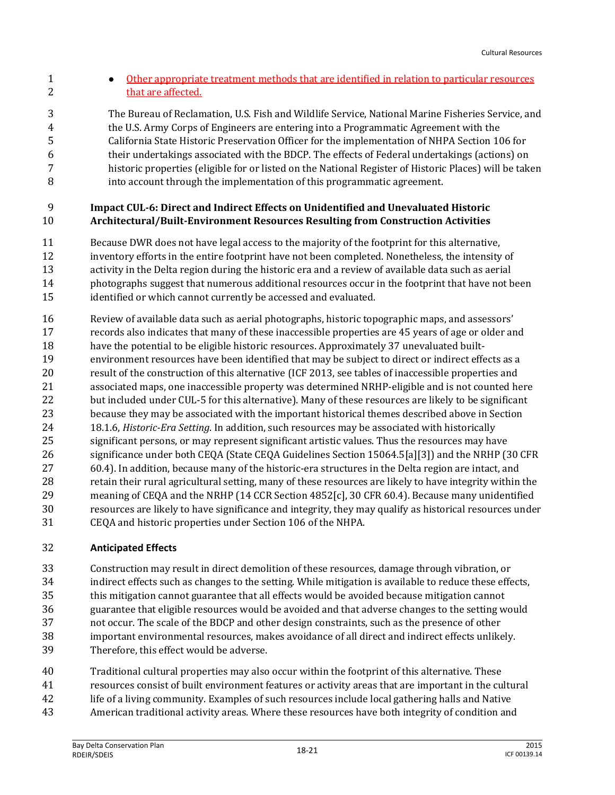- **Other appropriate treatment methods that are identified in relation to particular resources** 2 that are affected. The Bureau of Reclamation, U.S. Fish and Wildlife Service, National Marine Fisheries Service, and the U.S. Army Corps of Engineers are entering into a Programmatic Agreement with the California State Historic Preservation Officer for the implementation of NHPA Section 106 for
- their undertakings associated with the BDCP. The effects of Federal undertakings (actions) on historic properties (eligible for or listed on the National Register of Historic Places) will be taken into account through the implementation of this programmatic agreement.

#### **Impact CUL-6: Direct and Indirect Effects on Unidentified and Unevaluated Historic Architectural/Built-Environment Resources Resulting from Construction Activities**

- Because DWR does not have legal access to the majority of the footprint for this alternative, inventory efforts in the entire footprint have not been completed. Nonetheless, the intensity of activity in the Delta region during the historic era and a review of available data such as aerial photographs suggest that numerous additional resources occur in the footprint that have not been identified or which cannot currently be accessed and evaluated.
- Review of available data such as aerial photographs, historic topographic maps, and assessors' records also indicates that many of these inaccessible properties are 45 years of age or older and have the potential to be eligible historic resources. Approximately 37 unevaluated built- environment resources have been identified that may be subject to direct or indirect effects as a result of the construction of this alternative (ICF 2013, see tables of inaccessible properties and associated maps, one inaccessible property was determined NRHP-eligible and is not counted here but included under CUL-5 for this alternative). Many of these resources are likely to be significant because they may be associated with the important historical themes described above in Section 18.1.6, *Historic-Era Setting*. In addition, such resources may be associated with historically significant persons, or may represent significant artistic values. Thus the resources may have significance under both CEQA (State CEQA Guidelines Section 15064.5[a][3]) and the NRHP (30 CFR 60.4). In addition, because many of the historic-era structures in the Delta region are intact, and retain their rural agricultural setting, many of these resources are likely to have integrity within the meaning of CEQA and the NRHP (14 CCR Section 4852[c], 30 CFR 60.4). Because many unidentified resources are likely to have significance and integrity, they may qualify as historical resources under CEQA and historic properties under Section 106 of the NHPA.

#### **Anticipated Effects**

- Construction may result in direct demolition of these resources, damage through vibration, or indirect effects such as changes to the setting. While mitigation is available to reduce these effects, this mitigation cannot guarantee that all effects would be avoided because mitigation cannot guarantee that eligible resources would be avoided and that adverse changes to the setting would not occur. The scale of the BDCP and other design constraints, such as the presence of other important environmental resources, makes avoidance of all direct and indirect effects unlikely. Therefore, this effect would be adverse.
- Traditional cultural properties may also occur within the footprint of this alternative. These resources consist of built environment features or activity areas that are important in the cultural life of a living community. Examples of such resources include local gathering halls and Native
- American traditional activity areas. Where these resources have both integrity of condition and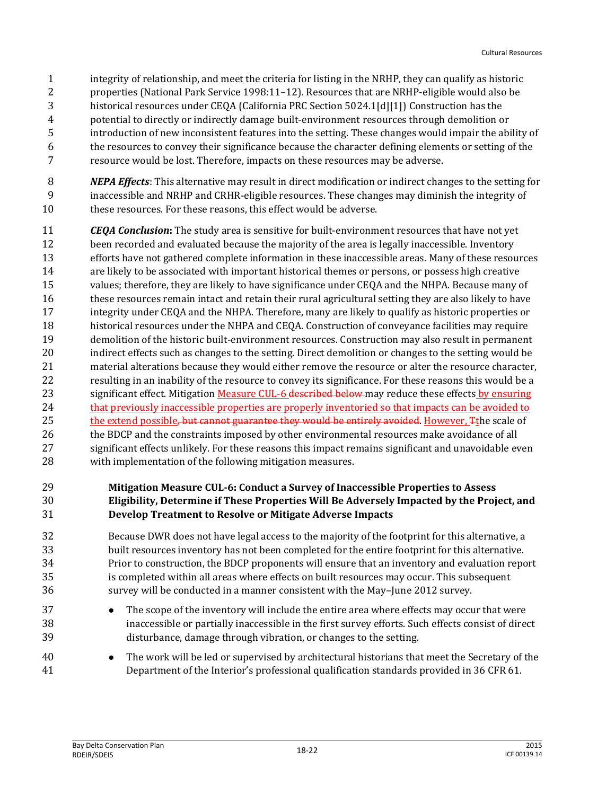- integrity of relationship, and meet the criteria for listing in the NRHP, they can qualify as historic properties (National Park Service 1998:11–12). Resources that are NRHP-eligible would also be historical resources under CEQA (California PRC Section 5024.1[d][1]) Construction has the potential to directly or indirectly damage built-environment resources through demolition or introduction of new inconsistent features into the setting. These changes would impair the ability of the resources to convey their significance because the character defining elements or setting of the resource would be lost. Therefore, impacts on these resources may be adverse.
- *NEPA Effects*: This alternative may result in direct modification or indirect changes to the setting for inaccessible and NRHP and CRHR-eligible resources. These changes may diminish the integrity of these resources. For these reasons, this effect would be adverse.
- *CEQA Conclusion***:** The study area is sensitive for built-environment resources that have not yet been recorded and evaluated because the majority of the area is legally inaccessible. Inventory efforts have not gathered complete information in these inaccessible areas. Many of these resources are likely to be associated with important historical themes or persons, or possess high creative values; therefore, they are likely to have significance under CEQA and the NHPA. Because many of these resources remain intact and retain their rural agricultural setting they are also likely to have integrity under CEQA and the NHPA. Therefore, many are likely to qualify as historic properties or historical resources under the NHPA and CEQA. Construction of conveyance facilities may require demolition of the historic built-environment resources. Construction may also result in permanent indirect effects such as changes to the setting. Direct demolition or changes to the setting would be material alterations because they would either remove the resource or alter the resource character, resulting in an inability of the resource to convey its significance. For these reasons this would be a 23 significant effect. Mitigation Measure CUL-6 described below may reduce these effects by ensuring 24 that previously inaccessible properties are properly inventoried so that impacts can be avoided to 25 the extend possible, but cannot guarantee they would be entirely avoided. However, The scale of 26 the BDCP and the constraints imposed by other environmental resources make avoidance of all significant effects unlikely. For these reasons this impact remains significant and unavoidable even with implementation of the following mitigation measures.

#### **Mitigation Measure CUL-6: Conduct a Survey of Inaccessible Properties to Assess Eligibility, Determine if These Properties Will Be Adversely Impacted by the Project, and Develop Treatment to Resolve or Mitigate Adverse Impacts**

 Because DWR does not have legal access to the majority of the footprint for this alternative, a built resources inventory has not been completed for the entire footprint for this alternative. Prior to construction, the BDCP proponents will ensure that an inventory and evaluation report is completed within all areas where effects on built resources may occur. This subsequent survey will be conducted in a manner consistent with the May–June 2012 survey.

- **The scope of the inventory will include the entire area where effects may occur that were**  inaccessible or partially inaccessible in the first survey efforts. Such effects consist of direct disturbance, damage through vibration, or changes to the setting.
- The work will be led or supervised by architectural historians that meet the Secretary of the Department of the Interior's professional qualification standards provided in 36 CFR 61.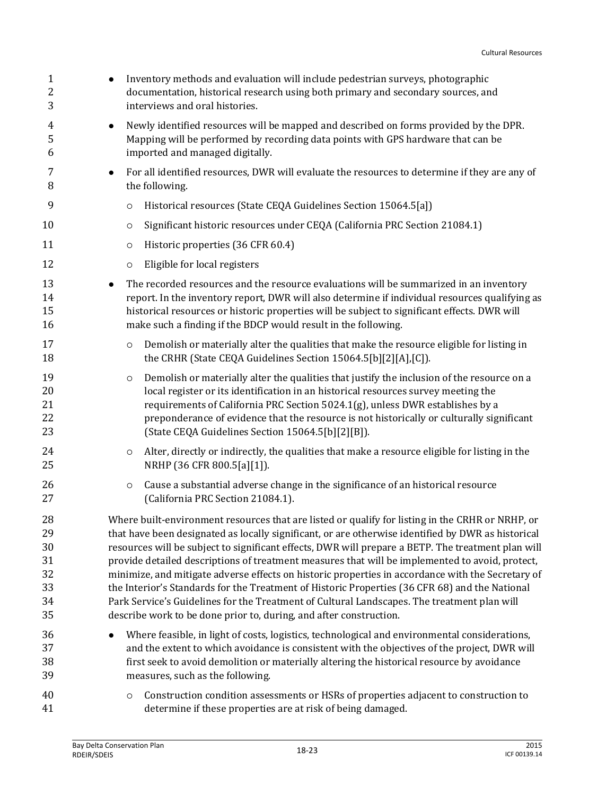| $\mathbf{1}$<br>$\overline{\mathbf{c}}$<br>3 | Inventory methods and evaluation will include pedestrian surveys, photographic<br>documentation, historical research using both primary and secondary sources, and<br>interviews and oral histories.                                                                                                                                                                                                                                                                                                                                                                                                                   |
|----------------------------------------------|------------------------------------------------------------------------------------------------------------------------------------------------------------------------------------------------------------------------------------------------------------------------------------------------------------------------------------------------------------------------------------------------------------------------------------------------------------------------------------------------------------------------------------------------------------------------------------------------------------------------|
| 4<br>5<br>6                                  | Newly identified resources will be mapped and described on forms provided by the DPR.<br>$\bullet$<br>Mapping will be performed by recording data points with GPS hardware that can be<br>imported and managed digitally.                                                                                                                                                                                                                                                                                                                                                                                              |
| 7<br>8                                       | For all identified resources, DWR will evaluate the resources to determine if they are any of<br>$\bullet$<br>the following.                                                                                                                                                                                                                                                                                                                                                                                                                                                                                           |
| 9                                            | Historical resources (State CEQA Guidelines Section 15064.5[a])<br>$\circ$                                                                                                                                                                                                                                                                                                                                                                                                                                                                                                                                             |
| 10                                           | Significant historic resources under CEQA (California PRC Section 21084.1)<br>$\circ$                                                                                                                                                                                                                                                                                                                                                                                                                                                                                                                                  |
| 11                                           | Historic properties (36 CFR 60.4)<br>$\circ$                                                                                                                                                                                                                                                                                                                                                                                                                                                                                                                                                                           |
| 12                                           | Eligible for local registers<br>$\circ$                                                                                                                                                                                                                                                                                                                                                                                                                                                                                                                                                                                |
| 13<br>14<br>15<br>16                         | The recorded resources and the resource evaluations will be summarized in an inventory<br>report. In the inventory report, DWR will also determine if individual resources qualifying as<br>historical resources or historic properties will be subject to significant effects. DWR will<br>make such a finding if the BDCP would result in the following.                                                                                                                                                                                                                                                             |
| 17<br>18                                     | Demolish or materially alter the qualities that make the resource eligible for listing in<br>$\circ$<br>the CRHR (State CEQA Guidelines Section 15064.5[b][2][A],[C]).                                                                                                                                                                                                                                                                                                                                                                                                                                                 |
| 19<br>20<br>21<br>22<br>23                   | Demolish or materially alter the qualities that justify the inclusion of the resource on a<br>$\circ$<br>local register or its identification in an historical resources survey meeting the<br>requirements of California PRC Section 5024.1(g), unless DWR establishes by a<br>preponderance of evidence that the resource is not historically or culturally significant<br>[State CEQA Guidelines Section 15064.5[b][2][B]).                                                                                                                                                                                         |
| 24<br>25                                     | Alter, directly or indirectly, the qualities that make a resource eligible for listing in the<br>$\circ$<br>NRHP (36 CFR 800.5[a][1]).                                                                                                                                                                                                                                                                                                                                                                                                                                                                                 |
| 26<br>27                                     | Cause a substantial adverse change in the significance of an historical resource<br>$\circ$<br>(California PRC Section 21084.1).                                                                                                                                                                                                                                                                                                                                                                                                                                                                                       |
| 28<br>29<br>30<br>31<br>32<br>33             | Where built-environment resources that are listed or qualify for listing in the CRHR or NRHP, or<br>that have been designated as locally significant, or are otherwise identified by DWR as historical<br>resources will be subject to significant effects, DWR will prepare a BETP. The treatment plan will<br>provide detailed descriptions of treatment measures that will be implemented to avoid, protect,<br>minimize, and mitigate adverse effects on historic properties in accordance with the Secretary of<br>the Interior's Standards for the Treatment of Historic Properties (36 CFR 68) and the National |
| 34                                           | Park Service's Guidelines for the Treatment of Cultural Landscapes. The treatment plan will                                                                                                                                                                                                                                                                                                                                                                                                                                                                                                                            |
| 35                                           | describe work to be done prior to, during, and after construction.                                                                                                                                                                                                                                                                                                                                                                                                                                                                                                                                                     |
| 36<br>37                                     | Where feasible, in light of costs, logistics, technological and environmental considerations,<br>and the extent to which avoidance is consistent with the objectives of the project, DWR will                                                                                                                                                                                                                                                                                                                                                                                                                          |
| 38                                           | first seek to avoid demolition or materially altering the historical resource by avoidance                                                                                                                                                                                                                                                                                                                                                                                                                                                                                                                             |
| 39                                           | measures, such as the following.                                                                                                                                                                                                                                                                                                                                                                                                                                                                                                                                                                                       |
| 40<br>41                                     | Construction condition assessments or HSRs of properties adjacent to construction to<br>$\circ$<br>determine if these properties are at risk of being damaged.                                                                                                                                                                                                                                                                                                                                                                                                                                                         |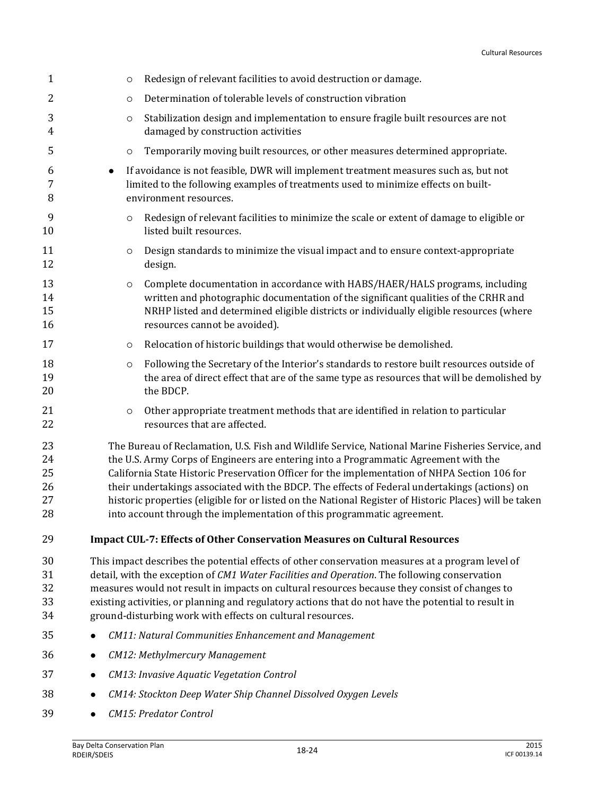| $\mathbf{1}$                     |           | O       | Redesign of relevant facilities to avoid destruction or damage.                                                                                                                                                                                                                                                                                                                                                                                                                                                                                                                  |
|----------------------------------|-----------|---------|----------------------------------------------------------------------------------------------------------------------------------------------------------------------------------------------------------------------------------------------------------------------------------------------------------------------------------------------------------------------------------------------------------------------------------------------------------------------------------------------------------------------------------------------------------------------------------|
| 2                                |           | O       | Determination of tolerable levels of construction vibration                                                                                                                                                                                                                                                                                                                                                                                                                                                                                                                      |
| 3<br>4                           |           | $\circ$ | Stabilization design and implementation to ensure fragile built resources are not<br>damaged by construction activities                                                                                                                                                                                                                                                                                                                                                                                                                                                          |
| 5                                |           | O       | Temporarily moving built resources, or other measures determined appropriate.                                                                                                                                                                                                                                                                                                                                                                                                                                                                                                    |
| 6<br>7<br>8                      | $\bullet$ |         | If avoidance is not feasible, DWR will implement treatment measures such as, but not<br>limited to the following examples of treatments used to minimize effects on built-<br>environment resources.                                                                                                                                                                                                                                                                                                                                                                             |
| 9<br>10                          |           | O       | Redesign of relevant facilities to minimize the scale or extent of damage to eligible or<br>listed built resources.                                                                                                                                                                                                                                                                                                                                                                                                                                                              |
| 11<br>12                         |           | $\circ$ | Design standards to minimize the visual impact and to ensure context-appropriate<br>design.                                                                                                                                                                                                                                                                                                                                                                                                                                                                                      |
| 13<br>14<br>15<br>16             |           | O       | Complete documentation in accordance with HABS/HAER/HALS programs, including<br>written and photographic documentation of the significant qualities of the CRHR and<br>NRHP listed and determined eligible districts or individually eligible resources (where<br>resources cannot be avoided).                                                                                                                                                                                                                                                                                  |
| 17                               |           | $\circ$ | Relocation of historic buildings that would otherwise be demolished.                                                                                                                                                                                                                                                                                                                                                                                                                                                                                                             |
| 18<br>19<br>20                   |           | O       | Following the Secretary of the Interior's standards to restore built resources outside of<br>the area of direct effect that are of the same type as resources that will be demolished by<br>the BDCP.                                                                                                                                                                                                                                                                                                                                                                            |
| 21<br>22                         |           | $\circ$ | Other appropriate treatment methods that are identified in relation to particular<br>resources that are affected.                                                                                                                                                                                                                                                                                                                                                                                                                                                                |
| 23<br>24<br>25<br>26<br>27<br>28 |           |         | The Bureau of Reclamation, U.S. Fish and Wildlife Service, National Marine Fisheries Service, and<br>the U.S. Army Corps of Engineers are entering into a Programmatic Agreement with the<br>California State Historic Preservation Officer for the implementation of NHPA Section 106 for<br>their undertakings associated with the BDCP. The effects of Federal undertakings (actions) on<br>historic properties (eligible for or listed on the National Register of Historic Places) will be taken<br>into account through the implementation of this programmatic agreement. |
| 29                               |           |         | <b>Impact CUL-7: Effects of Other Conservation Measures on Cultural Resources</b>                                                                                                                                                                                                                                                                                                                                                                                                                                                                                                |
| 30<br>31<br>32<br>33<br>34       |           |         | This impact describes the potential effects of other conservation measures at a program level of<br>detail, with the exception of CM1 Water Facilities and Operation. The following conservation<br>measures would not result in impacts on cultural resources because they consist of changes to<br>existing activities, or planning and regulatory actions that do not have the potential to result in<br>ground-disturbing work with effects on cultural resources.                                                                                                           |
| 35                               |           |         | <b>CM11: Natural Communities Enhancement and Management</b>                                                                                                                                                                                                                                                                                                                                                                                                                                                                                                                      |
| 36                               |           |         | <b>CM12: Methylmercury Management</b>                                                                                                                                                                                                                                                                                                                                                                                                                                                                                                                                            |
| 37                               |           |         | CM13: Invasive Aquatic Vegetation Control                                                                                                                                                                                                                                                                                                                                                                                                                                                                                                                                        |
| 38                               |           |         | CM14: Stockton Deep Water Ship Channel Dissolved Oxygen Levels                                                                                                                                                                                                                                                                                                                                                                                                                                                                                                                   |
| 39                               |           |         | <b>CM15</b> : Predator Control                                                                                                                                                                                                                                                                                                                                                                                                                                                                                                                                                   |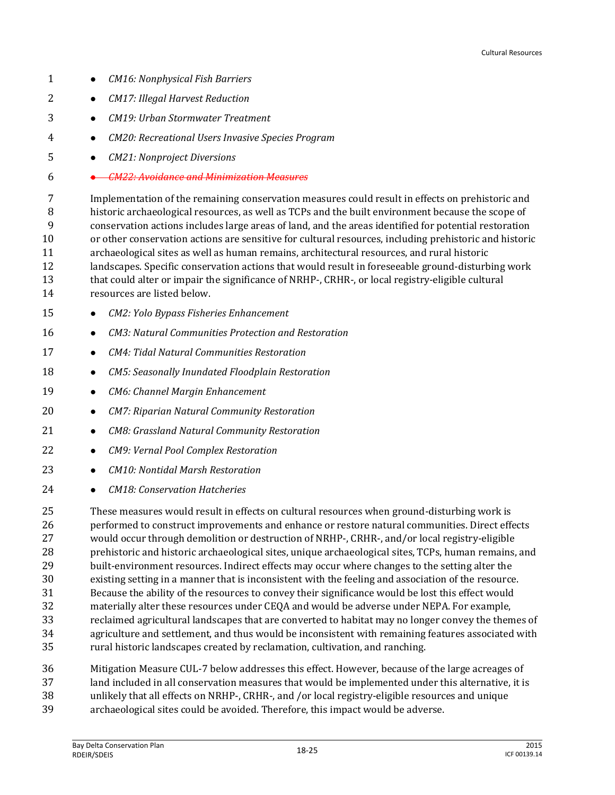- *CM16: Nonphysical Fish Barriers*
- *CM17: Illegal Harvest Reduction*
- *CM19: Urban Stormwater Treatment*
- *CM20: Recreational Users Invasive Species Program*
- *CM21: Nonproject Diversions*
- *CM22: Avoidance and Minimization Measures*

 Implementation of the remaining conservation measures could result in effects on prehistoric and historic archaeological resources, as well as TCPs and the built environment because the scope of conservation actions includes large areas of land, and the areas identified for potential restoration or other conservation actions are sensitive for cultural resources, including prehistoric and historic archaeological sites as well as human remains, architectural resources, and rural historic landscapes. Specific conservation actions that would result in foreseeable ground-disturbing work 13 that could alter or impair the significance of NRHP-, CRHR-, or local registry-eligible cultural resources are listed below.

- *CM2: Yolo Bypass Fisheries Enhancement*
- *CM3: Natural Communities Protection and Restoration*
- *CM4: Tidal Natural Communities Restoration*
- *CM5: Seasonally Inundated Floodplain Restoration*
- *CM6: Channel Margin Enhancement*
- *CM7: Riparian Natural Community Restoration*
- *CM8: Grassland Natural Community Restoration*
- *CM9: Vernal Pool Complex Restoration*
- *CM10: Nontidal Marsh Restoration*
- *CM18: Conservation Hatcheries*

 These measures would result in effects on cultural resources when ground-disturbing work is performed to construct improvements and enhance or restore natural communities. Direct effects would occur through demolition or destruction of NRHP-, CRHR-, and/or local registry-eligible prehistoric and historic archaeological sites, unique archaeological sites, TCPs, human remains, and built-environment resources. Indirect effects may occur where changes to the setting alter the existing setting in a manner that is inconsistent with the feeling and association of the resource. Because the ability of the resources to convey their significance would be lost this effect would materially alter these resources under CEQA and would be adverse under NEPA. For example, reclaimed agricultural landscapes that are converted to habitat may no longer convey the themes of agriculture and settlement, and thus would be inconsistent with remaining features associated with rural historic landscapes created by reclamation, cultivation, and ranching.

- Mitigation Measure CUL-7 below addresses this effect. However, because of the large acreages of land included in all conservation measures that would be implemented under this alternative, it is
- unlikely that all effects on NRHP-, CRHR-, and /or local registry-eligible resources and unique
- archaeological sites could be avoided. Therefore, this impact would be adverse.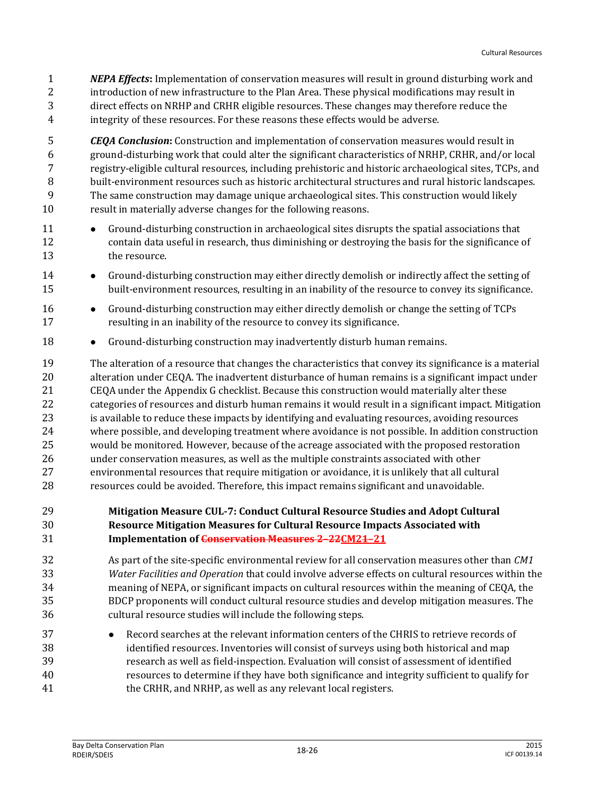*NEPA Effects***:** Implementation of conservation measures will result in ground disturbing work and introduction of new infrastructure to the Plan Area. These physical modifications may result in direct effects on NRHP and CRHR eligible resources. These changes may therefore reduce the integrity of these resources. For these reasons these effects would be adverse.

 *CEQA Conclusion***:** Construction and implementation of conservation measures would result in ground-disturbing work that could alter the significant characteristics of NRHP, CRHR, and/or local registry-eligible cultural resources, including prehistoric and historic archaeological sites, TCPs, and built-environment resources such as historic architectural structures and rural historic landscapes. The same construction may damage unique archaeological sites. This construction would likely result in materially adverse changes for the following reasons.

- Ground-disturbing construction in archaeological sites disrupts the spatial associations that contain data useful in research, thus diminishing or destroying the basis for the significance of the resource.
- 14 Ground-disturbing construction may either directly demolish or indirectly affect the setting of built-environment resources, resulting in an inability of the resource to convey its significance.
- **•** Ground-disturbing construction may either directly demolish or change the setting of TCPs resulting in an inability of the resource to convey its significance.
- 18 Ground-disturbing construction may inadvertently disturb human remains.

 The alteration of a resource that changes the characteristics that convey its significance is a material alteration under CEQA. The inadvertent disturbance of human remains is a significant impact under CEQA under the Appendix G checklist. Because this construction would materially alter these categories of resources and disturb human remains it would result in a significant impact. Mitigation is available to reduce these impacts by identifying and evaluating resources, avoiding resources where possible, and developing treatment where avoidance is not possible. In addition construction would be monitored. However, because of the acreage associated with the proposed restoration under conservation measures, as well as the multiple constraints associated with other environmental resources that require mitigation or avoidance, it is unlikely that all cultural resources could be avoided. Therefore, this impact remains significant and unavoidable.

#### **Mitigation Measure CUL-7: Conduct Cultural Resource Studies and Adopt Cultural Resource Mitigation Measures for Cultural Resource Impacts Associated with Implementation of Conservation Measures 2–22CM21–21**

- As part of the site-specific environmental review for all conservation measures other than *CM1 Water Facilities and Operation* that could involve adverse effects on cultural resources within the meaning of NEPA, or significant impacts on cultural resources within the meaning of CEQA, the BDCP proponents will conduct cultural resource studies and develop mitigation measures. The cultural resource studies will include the following steps.
- 37 
Record searches at the relevant information centers of the CHRIS to retrieve records of identified resources. Inventories will consist of surveys using both historical and map research as well as field-inspection. Evaluation will consist of assessment of identified resources to determine if they have both significance and integrity sufficient to qualify for the CRHR, and NRHP, as well as any relevant local registers.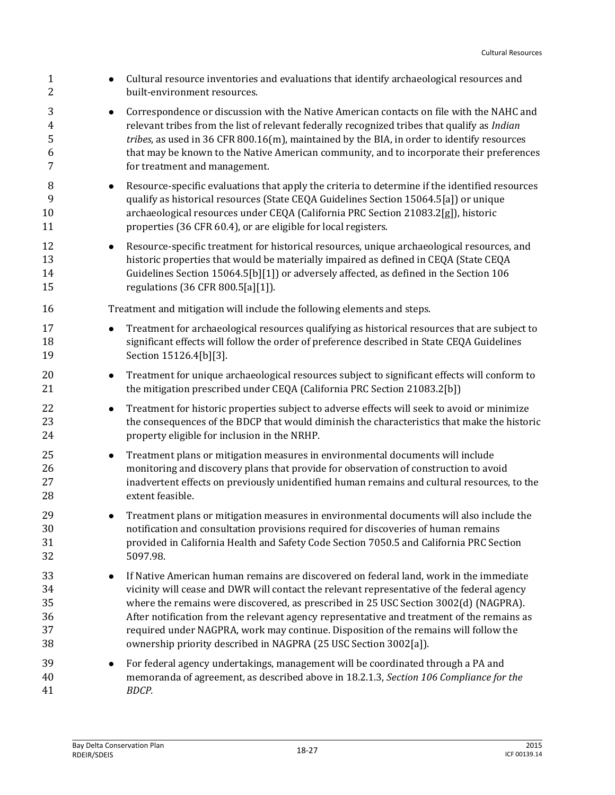| $\mathbf{1}$<br>$\overline{c}$     | Cultural resource inventories and evaluations that identify archaeological resources and<br>built-environment resources.                                                                                                                                                                                                                                                                                                                                                                                                                            |
|------------------------------------|-----------------------------------------------------------------------------------------------------------------------------------------------------------------------------------------------------------------------------------------------------------------------------------------------------------------------------------------------------------------------------------------------------------------------------------------------------------------------------------------------------------------------------------------------------|
| 3<br>$\overline{4}$<br>5<br>6<br>7 | Correspondence or discussion with the Native American contacts on file with the NAHC and<br>$\bullet$<br>relevant tribes from the list of relevant federally recognized tribes that qualify as Indian<br>tribes, as used in 36 CFR 800.16(m), maintained by the BIA, in order to identify resources<br>that may be known to the Native American community, and to incorporate their preferences<br>for treatment and management.                                                                                                                    |
| 8<br>9<br>10<br>11                 | Resource-specific evaluations that apply the criteria to determine if the identified resources<br>$\bullet$<br>qualify as historical resources (State CEQA Guidelines Section 15064.5[a]) or unique<br>archaeological resources under CEQA (California PRC Section 21083.2[g]), historic<br>properties (36 CFR 60.4), or are eligible for local registers.                                                                                                                                                                                          |
| 12<br>13<br>14<br>15               | Resource-specific treatment for historical resources, unique archaeological resources, and<br>$\bullet$<br>historic properties that would be materially impaired as defined in CEQA (State CEQA<br>Guidelines Section 15064.5[b][1]) or adversely affected, as defined in the Section 106<br>regulations (36 CFR 800.5[a][1]).                                                                                                                                                                                                                      |
| 16                                 | Treatment and mitigation will include the following elements and steps.                                                                                                                                                                                                                                                                                                                                                                                                                                                                             |
| 17<br>18<br>19                     | Treatment for archaeological resources qualifying as historical resources that are subject to<br>$\bullet$<br>significant effects will follow the order of preference described in State CEQA Guidelines<br>Section 15126.4[b][3].                                                                                                                                                                                                                                                                                                                  |
| 20<br>21                           | Treatment for unique archaeological resources subject to significant effects will conform to<br>$\bullet$<br>the mitigation prescribed under CEQA (California PRC Section 21083.2[b])                                                                                                                                                                                                                                                                                                                                                               |
| 22<br>23<br>24                     | Treatment for historic properties subject to adverse effects will seek to avoid or minimize<br>$\bullet$<br>the consequences of the BDCP that would diminish the characteristics that make the historic<br>property eligible for inclusion in the NRHP.                                                                                                                                                                                                                                                                                             |
| 25<br>26<br>27<br>28               | Treatment plans or mitigation measures in environmental documents will include<br>$\bullet$<br>monitoring and discovery plans that provide for observation of construction to avoid<br>inadvertent effects on previously unidentified human remains and cultural resources, to the<br>extent feasible.                                                                                                                                                                                                                                              |
| 29<br>30<br>31<br>32               | Treatment plans or mitigation measures in environmental documents will also include the<br>٠<br>notification and consultation provisions required for discoveries of human remains<br>provided in California Health and Safety Code Section 7050.5 and California PRC Section<br>5097.98.                                                                                                                                                                                                                                                           |
| 33<br>34<br>35<br>36<br>37<br>38   | If Native American human remains are discovered on federal land, work in the immediate<br>$\bullet$<br>vicinity will cease and DWR will contact the relevant representative of the federal agency<br>where the remains were discovered, as prescribed in 25 USC Section 3002(d) (NAGPRA).<br>After notification from the relevant agency representative and treatment of the remains as<br>required under NAGPRA, work may continue. Disposition of the remains will follow the<br>ownership priority described in NAGPRA (25 USC Section 3002[a]). |
| 39<br>40<br>41                     | For federal agency undertakings, management will be coordinated through a PA and<br>memoranda of agreement, as described above in 18.2.1.3, Section 106 Compliance for the<br>BDCP.                                                                                                                                                                                                                                                                                                                                                                 |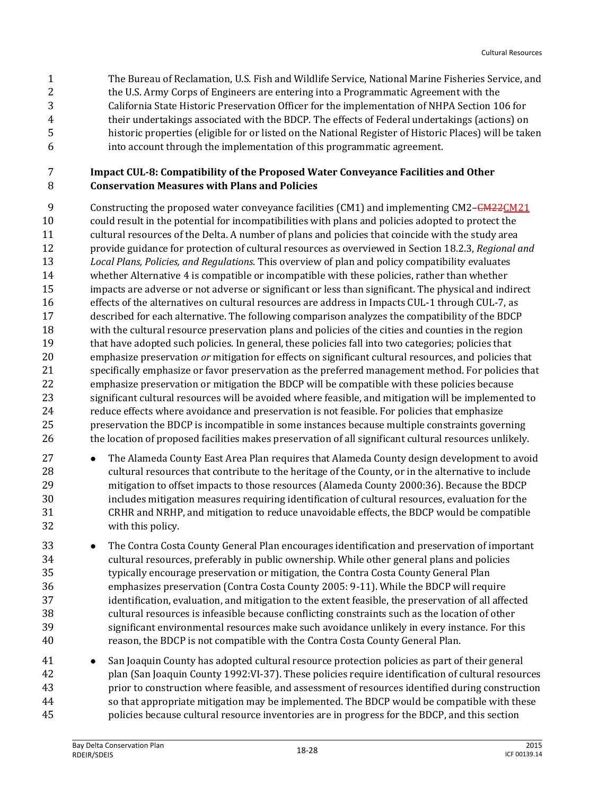The Bureau of Reclamation, U.S. Fish and Wildlife Service, National Marine Fisheries Service, and 2 the U.S. Army Corps of Engineers are entering into a Programmatic Agreement with the California State Historic Preservation Officer for the implementation of NHPA Section 106 for their undertakings associated with the BDCP. The effects of Federal undertakings (actions) on historic properties (eligible for or listed on the National Register of Historic Places) will be taken into account through the implementation of this programmatic agreement.

#### **Impact CUL-8: Compatibility of the Proposed Water Conveyance Facilities and Other Conservation Measures with Plans and Policies**

9 Constructing the proposed water conveyance facilities (CM1) and implementing CM2–CM22CM21 could result in the potential for incompatibilities with plans and policies adopted to protect the cultural resources of the Delta. A number of plans and policies that coincide with the study area provide guidance for protection of cultural resources as overviewed in Section 18.2.3, *Regional and Local Plans, Policies, and Regulations*. This overview of plan and policy compatibility evaluates whether Alternative 4 is compatible or incompatible with these policies, rather than whether impacts are adverse or not adverse or significant or less than significant. The physical and indirect effects of the alternatives on cultural resources are address in Impacts CUL-1 through CUL-7, as described for each alternative. The following comparison analyzes the compatibility of the BDCP with the cultural resource preservation plans and policies of the cities and counties in the region that have adopted such policies. In general, these policies fall into two categories; policies that emphasize preservation *or* mitigation for effects on significant cultural resources, and policies that specifically emphasize or favor preservation as the preferred management method. For policies that emphasize preservation or mitigation the BDCP will be compatible with these policies because significant cultural resources will be avoided where feasible, and mitigation will be implemented to reduce effects where avoidance and preservation is not feasible. For policies that emphasize preservation the BDCP is incompatible in some instances because multiple constraints governing the location of proposed facilities makes preservation of all significant cultural resources unlikely.

- **•** The Alameda County East Area Plan requires that Alameda County design development to avoid cultural resources that contribute to the heritage of the County, or in the alternative to include mitigation to offset impacts to those resources (Alameda County 2000:36). Because the BDCP includes mitigation measures requiring identification of cultural resources, evaluation for the CRHR and NRHP, and mitigation to reduce unavoidable effects, the BDCP would be compatible with this policy.
- **•** The Contra Costa County General Plan encourages identification and preservation of important cultural resources, preferably in public ownership. While other general plans and policies typically encourage preservation or mitigation, the Contra Costa County General Plan emphasizes preservation (Contra Costa County 2005: 9-11). While the BDCP will require identification, evaluation, and mitigation to the extent feasible, the preservation of all affected cultural resources is infeasible because conflicting constraints such as the location of other significant environmental resources make such avoidance unlikely in every instance. For this reason, the BDCP is not compatible with the Contra Costa County General Plan.
- 41 San Joaquin County has adopted cultural resource protection policies as part of their general plan (San Joaquin County 1992:VI-37). These policies require identification of cultural resources prior to construction where feasible, and assessment of resources identified during construction so that appropriate mitigation may be implemented. The BDCP would be compatible with these policies because cultural resource inventories are in progress for the BDCP, and this section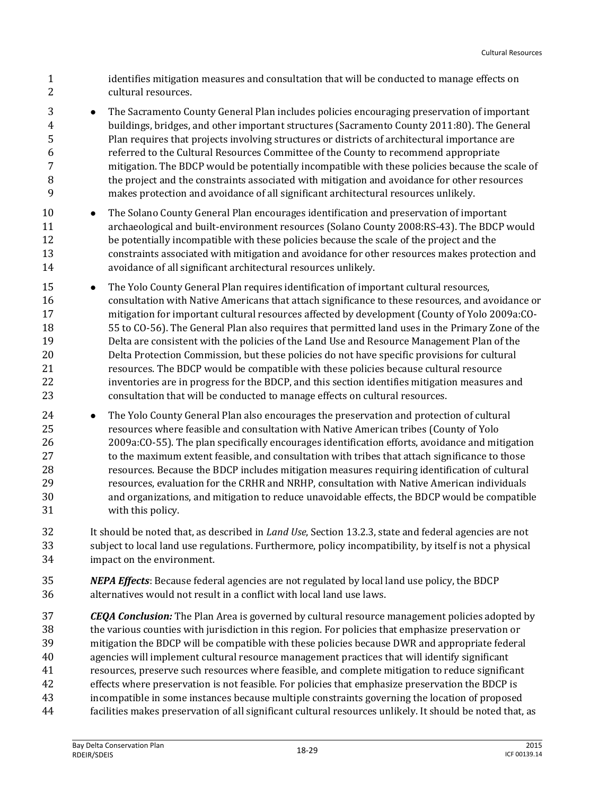identifies mitigation measures and consultation that will be conducted to manage effects on cultural resources.

- **•** The Sacramento County General Plan includes policies encouraging preservation of important buildings, bridges, and other important structures (Sacramento County 2011:80). The General Plan requires that projects involving structures or districts of architectural importance are referred to the Cultural Resources Committee of the County to recommend appropriate mitigation. The BDCP would be potentially incompatible with these policies because the scale of the project and the constraints associated with mitigation and avoidance for other resources makes protection and avoidance of all significant architectural resources unlikely.
- **•** The Solano County General Plan encourages identification and preservation of important archaeological and built-environment resources (Solano County 2008:RS-43). The BDCP would be potentially incompatible with these policies because the scale of the project and the constraints associated with mitigation and avoidance for other resources makes protection and avoidance of all significant architectural resources unlikely.
- **•** The Yolo County General Plan requires identification of important cultural resources, consultation with Native Americans that attach significance to these resources, and avoidance or mitigation for important cultural resources affected by development (County of Yolo 2009a:CO- 55 to CO-56). The General Plan also requires that permitted land uses in the Primary Zone of the Delta are consistent with the policies of the Land Use and Resource Management Plan of the Delta Protection Commission, but these policies do not have specific provisions for cultural resources. The BDCP would be compatible with these policies because cultural resource inventories are in progress for the BDCP, and this section identifies mitigation measures and consultation that will be conducted to manage effects on cultural resources.
- **•** The Yolo County General Plan also encourages the preservation and protection of cultural resources where feasible and consultation with Native American tribes (County of Yolo 2009a:CO-55). The plan specifically encourages identification efforts, avoidance and mitigation 27 to the maximum extent feasible, and consultation with tribes that attach significance to those resources. Because the BDCP includes mitigation measures requiring identification of cultural resources, evaluation for the CRHR and NRHP, consultation with Native American individuals and organizations, and mitigation to reduce unavoidable effects, the BDCP would be compatible with this policy.
- It should be noted that, as described in *Land Use*, Section 13.2.3, state and federal agencies are not subject to local land use regulations. Furthermore, policy incompatibility, by itself is not a physical impact on the environment.
- *NEPA Effects*: Because federal agencies are not regulated by local land use policy, the BDCP alternatives would not result in a conflict with local land use laws.
- *CEQA Conclusion:* The Plan Area is governed by cultural resource management policies adopted by the various counties with jurisdiction in this region. For policies that emphasize preservation or mitigation the BDCP will be compatible with these policies because DWR and appropriate federal agencies will implement cultural resource management practices that will identify significant resources, preserve such resources where feasible, and complete mitigation to reduce significant effects where preservation is not feasible. For policies that emphasize preservation the BDCP is incompatible in some instances because multiple constraints governing the location of proposed facilities makes preservation of all significant cultural resources unlikely. It should be noted that, as